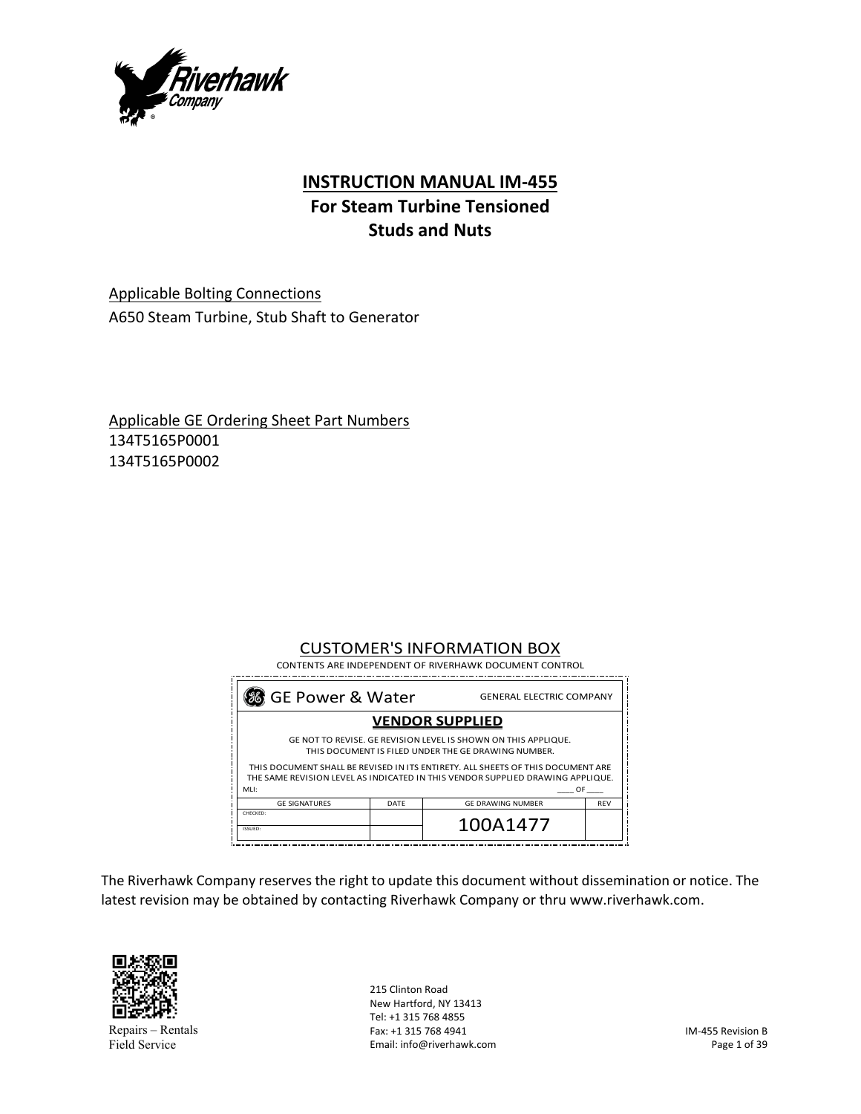

# **INSTRUCTION MANUAL IM‐455**

# **For Steam Turbine Tensioned Studs and Nuts**

Applicable Bolting Connections A650 Steam Turbine, Stub Shaft to Generator

Applicable GE Ordering Sheet Part Numbers 134T5165P0001 134T5165P0002

# CUSTOMER'S INFORMATION BOX

| 8 GE Power & Water<br><b>GENERAL ELECTRIC COMPANY</b>                                                                                                                           |      |                          |            |  |  |  |
|---------------------------------------------------------------------------------------------------------------------------------------------------------------------------------|------|--------------------------|------------|--|--|--|
| <b>VENDOR SUPPLIED</b>                                                                                                                                                          |      |                          |            |  |  |  |
| GE NOT TO REVISE. GE REVISION LEVEL IS SHOWN ON THIS APPLIQUE.<br>THIS DOCUMENT IS FILED UNDER THE GE DRAWING NUMBER.                                                           |      |                          |            |  |  |  |
| THIS DOCUMENT SHALL BE REVISED IN ITS ENTIRETY. ALL SHEETS OF THIS DOCUMENT ARE<br>THE SAME REVISION LEVEL AS INDICATED IN THIS VENDOR SUPPLIED DRAWING APPLIQUE.<br>MLI:<br>OF |      |                          |            |  |  |  |
| <b>GE SIGNATURES</b>                                                                                                                                                            | DATE | <b>GE DRAWING NUMBER</b> | <b>REV</b> |  |  |  |
| CHECKED:<br>ISSUED:                                                                                                                                                             |      | 100A1477                 |            |  |  |  |

The Riverhawk Company reserves the right to update this document without dissemination or notice. The latest revision may be obtained by contacting Riverhawk Company or thru www.riverhawk.com.



Repairs – Rentals Field Service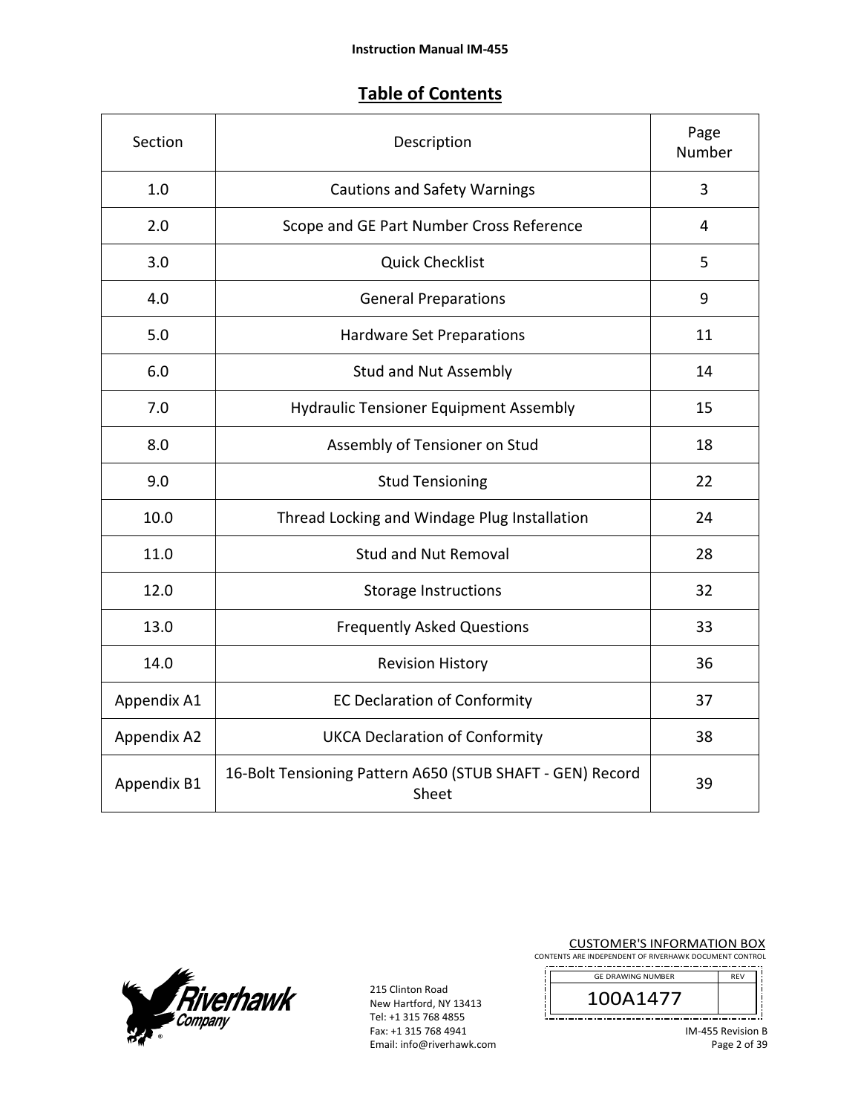# **Table of Contents**

| Section     | Description                                                        | Page<br>Number |
|-------------|--------------------------------------------------------------------|----------------|
| 1.0         | <b>Cautions and Safety Warnings</b>                                | 3              |
| 2.0         | Scope and GE Part Number Cross Reference                           | 4              |
| 3.0         | <b>Quick Checklist</b>                                             | 5              |
| 4.0         | <b>General Preparations</b>                                        | 9              |
| 5.0         | Hardware Set Preparations                                          | 11             |
| 6.0         | <b>Stud and Nut Assembly</b>                                       | 14             |
| 7.0         | <b>Hydraulic Tensioner Equipment Assembly</b>                      | 15             |
| 8.0         | Assembly of Tensioner on Stud                                      | 18             |
| 9.0         | <b>Stud Tensioning</b>                                             | 22             |
| 10.0        | Thread Locking and Windage Plug Installation                       | 24             |
| 11.0        | <b>Stud and Nut Removal</b>                                        | 28             |
| 12.0        | <b>Storage Instructions</b>                                        | 32             |
| 13.0        | <b>Frequently Asked Questions</b>                                  | 33             |
| 14.0        | <b>Revision History</b>                                            | 36             |
| Appendix A1 | <b>EC Declaration of Conformity</b>                                | 37             |
| Appendix A2 | <b>UKCA Declaration of Conformity</b>                              | 38             |
| Appendix B1 | 16-Bolt Tensioning Pattern A650 (STUB SHAFT - GEN) Record<br>Sheet | 39             |



215 Clinton Road New Hartford, NY 13413 Tel: +1 315 768 4855 Fax: +1 315 768 4941 Email: info@riverhawk.com **CUSTOMER'S INFORMATION BOX**<br>CONTENTS ARE INDEPENDENT OF RIVERHAWK DOCUMENT CONTROL

| <b>GE DRAWING NUMBER</b> |  |
|--------------------------|--|
| 141.                     |  |
|                          |  |

IM‐455 Revision B Page 2 of 39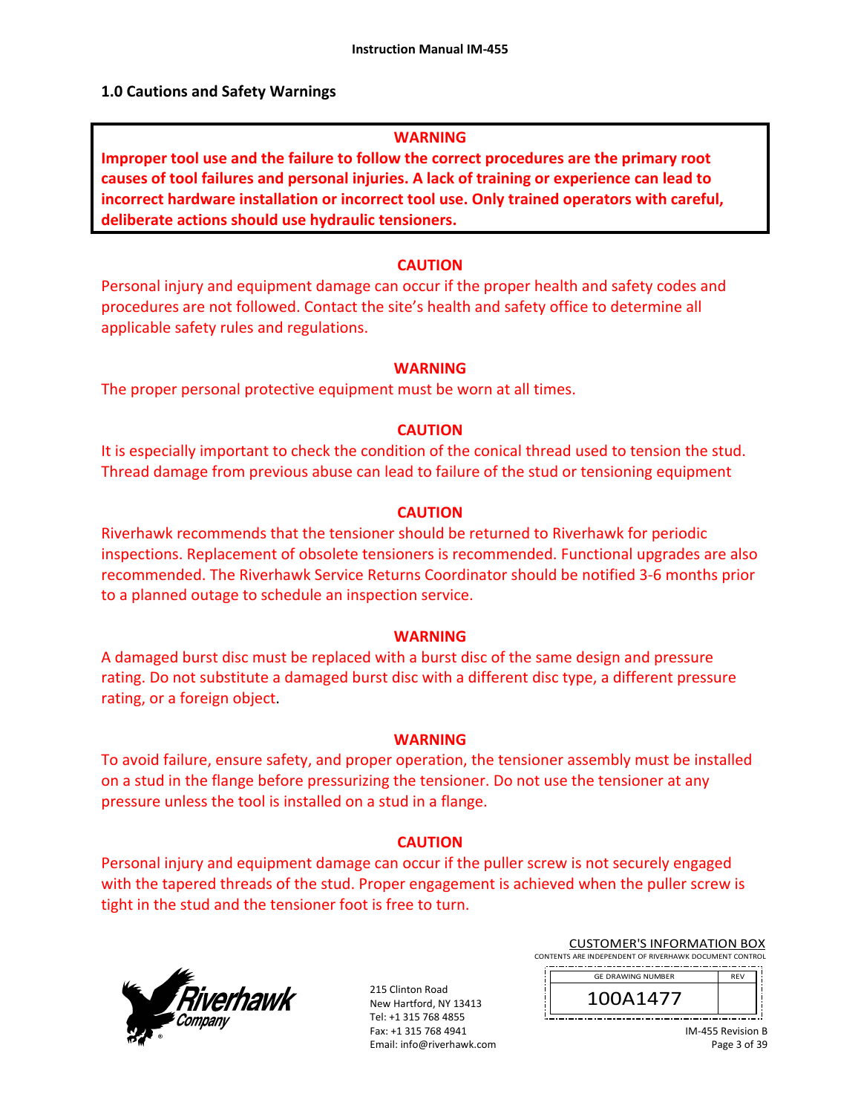### **1.0 Cautions and Safety Warnings**

#### **WARNING**

**Improper tool use and the failure to follow the correct procedures are the primary root causes of tool failures and personal injuries. A lack of training or experience can lead to incorrect hardware installation or incorrect tool use. Only trained operators with careful, deliberate actions should use hydraulic tensioners.** 

#### **CAUTION**

Personal injury and equipment damage can occur if the proper health and safety codes and procedures are not followed. Contact the site's health and safety office to determine all applicable safety rules and regulations.

#### **WARNING**

The proper personal protective equipment must be worn at all times.

#### **CAUTION**

It is especially important to check the condition of the conical thread used to tension the stud. Thread damage from previous abuse can lead to failure of the stud or tensioning equipment

#### **CAUTION**

Riverhawk recommends that the tensioner should be returned to Riverhawk for periodic inspections. Replacement of obsolete tensioners is recommended. Functional upgrades are also recommended. The Riverhawk Service Returns Coordinator should be notified 3‐6 months prior to a planned outage to schedule an inspection service.

#### **WARNING**

A damaged burst disc must be replaced with a burst disc of the same design and pressure rating. Do not substitute a damaged burst disc with a different disc type, a different pressure rating, or a foreign object.

#### **WARNING**

To avoid failure, ensure safety, and proper operation, the tensioner assembly must be installed on a stud in the flange before pressurizing the tensioner. Do not use the tensioner at any pressure unless the tool is installed on a stud in a flange.

#### **CAUTION**

Personal injury and equipment damage can occur if the puller screw is not securely engaged with the tapered threads of the stud. Proper engagement is achieved when the puller screw is tight in the stud and the tensioner foot is free to turn.



| <b>CUSTOMER'S INFORMATION BOX</b>                      |  |  |  |
|--------------------------------------------------------|--|--|--|
| CONTENTS ARE INDEPENDENT OF RIVERHAWK DOCUMENT CONTROL |  |  |  |

| <b>GE DRAWING NUMBER</b> | <b>RFV</b> |
|--------------------------|------------|
| \147                     |            |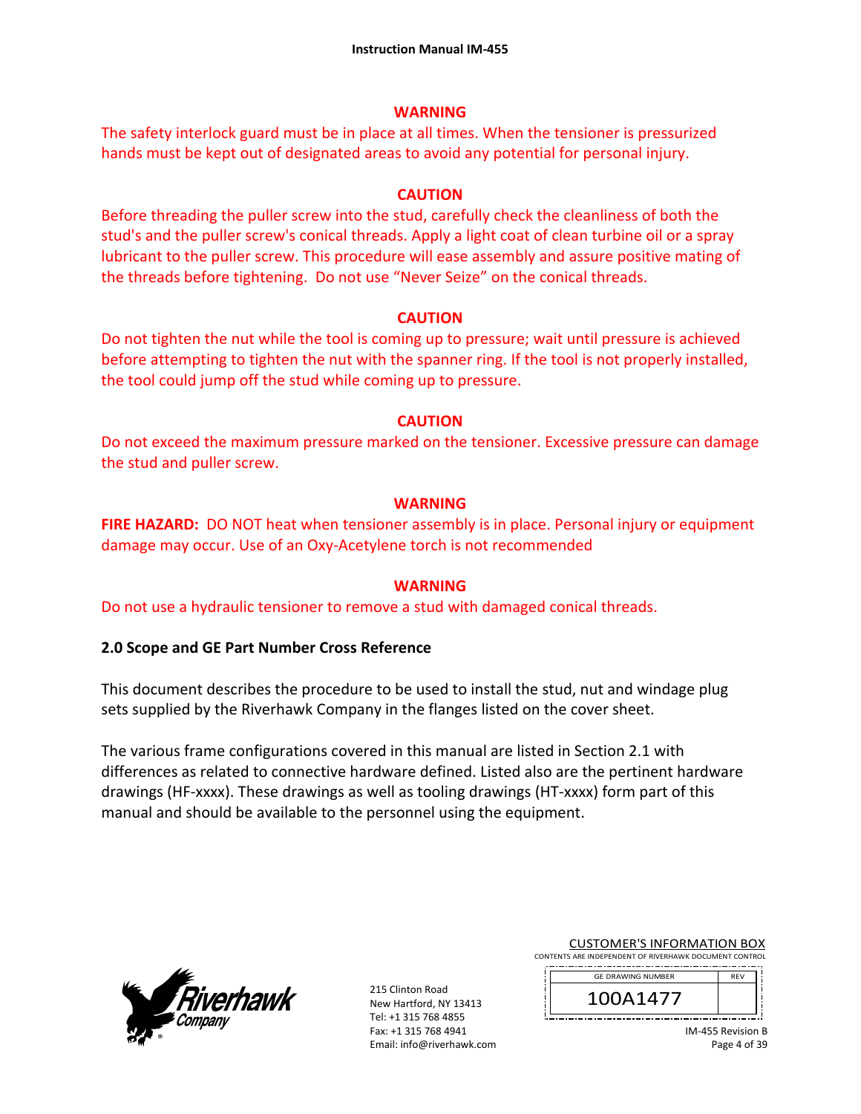### **WARNING**

The safety interlock guard must be in place at all times. When the tensioner is pressurized hands must be kept out of designated areas to avoid any potential for personal injury.

### **CAUTION**

Before threading the puller screw into the stud, carefully check the cleanliness of both the stud's and the puller screw's conical threads. Apply a light coat of clean turbine oil or a spray lubricant to the puller screw. This procedure will ease assembly and assure positive mating of the threads before tightening. Do not use "Never Seize" on the conical threads.

#### **CAUTION**

Do not tighten the nut while the tool is coming up to pressure; wait until pressure is achieved before attempting to tighten the nut with the spanner ring. If the tool is not properly installed, the tool could jump off the stud while coming up to pressure.

### **CAUTION**

Do not exceed the maximum pressure marked on the tensioner. Excessive pressure can damage the stud and puller screw.

#### **WARNING**

**FIRE HAZARD:** DO NOT heat when tensioner assembly is in place. Personal injury or equipment damage may occur. Use of an Oxy‐Acetylene torch is not recommended

#### **WARNING**

Do not use a hydraulic tensioner to remove a stud with damaged conical threads.

### **2.0 Scope and GE Part Number Cross Reference**

This document describes the procedure to be used to install the stud, nut and windage plug sets supplied by the Riverhawk Company in the flanges listed on the cover sheet.

The various frame configurations covered in this manual are listed in Section 2.1 with differences as related to connective hardware defined. Listed also are the pertinent hardware drawings (HF‐xxxx). These drawings as well as tooling drawings (HT‐xxxx) form part of this manual and should be available to the personnel using the equipment.



|                                                        | <b>CUSTOMER'S INFORMATION BOX</b> |  |  |  |  |  |
|--------------------------------------------------------|-----------------------------------|--|--|--|--|--|
| CONTENTS ARE INDEPENDENT OF RIVERHAWK DOCUMENT CONTROL |                                   |  |  |  |  |  |

| <b>GE DRAWING NUMBER</b> | <b>RFV</b> |
|--------------------------|------------|
| 1411                     |            |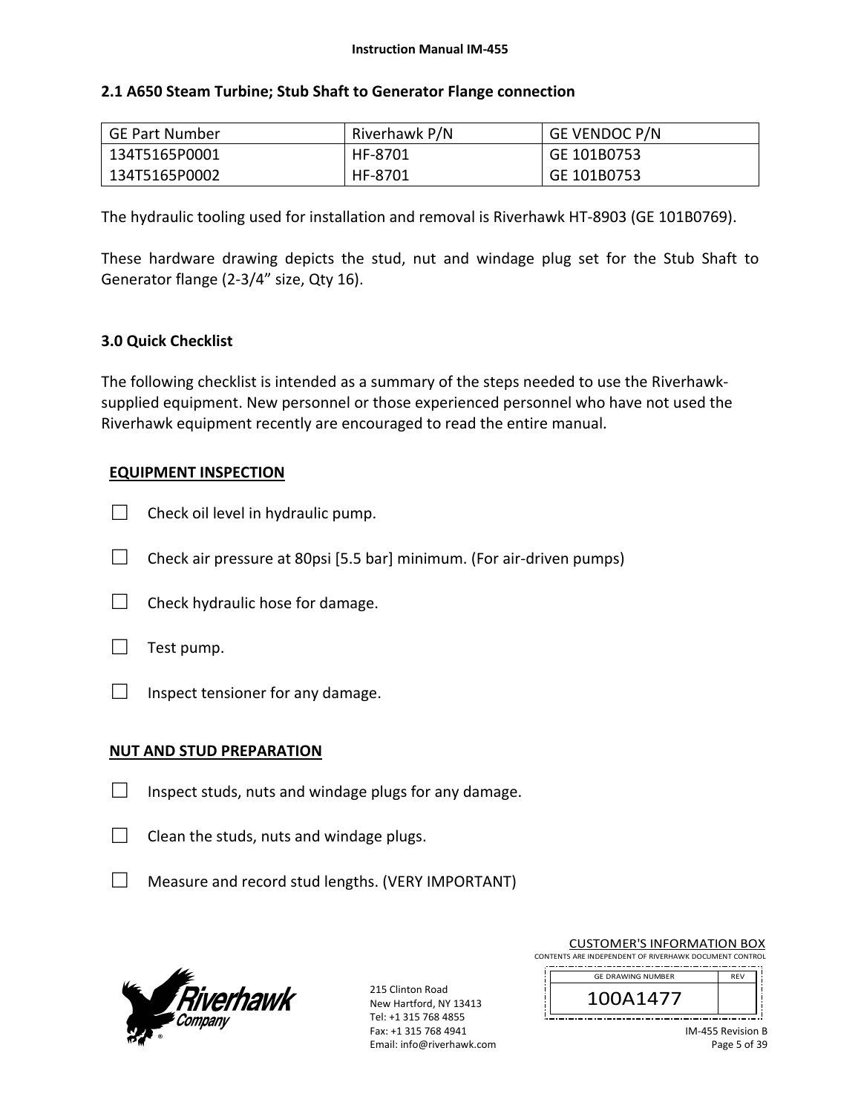### **2.1 A650 Steam Turbine; Stub Shaft to Generator Flange connection**

| <b>GE Part Number</b> | Riverhawk P/N | <b>GE VENDOC P/N</b> |
|-----------------------|---------------|----------------------|
| 134T5165P0001         | HF-8701       | GE 101B0753          |
| 134T5165P0002         | HF-8701       | GE 101B0753          |

The hydraulic tooling used for installation and removal is Riverhawk HT‐8903 (GE 101B0769).

These hardware drawing depicts the stud, nut and windage plug set for the Stub Shaft to Generator flange (2‐3/4" size, Qty 16).

### **3.0 Quick Checklist**

The following checklist is intended as a summary of the steps needed to use the Riverhawk‐ supplied equipment. New personnel or those experienced personnel who have not used the Riverhawk equipment recently are encouraged to read the entire manual.

### **EQUIPMENT INSPECTION**

- $\Box$  Check oil level in hydraulic pump.
- $\Box$  Check air pressure at 80psi [5.5 bar] minimum. (For air-driven pumps)
- $\Box$  Check hydraulic hose for damage.
- $\Box$  Test pump.
- $\Box$  Inspect tensioner for any damage.

### **NUT AND STUD PREPARATION**

- $\Box$  Inspect studs, nuts and windage plugs for any damage.
- $\Box$  Clean the studs, nuts and windage plugs.
- $\Box$  Measure and record stud lengths. (VERY IMPORTANT)



| <b>CUSTOMER'S INFORMATION BOX</b>                      |
|--------------------------------------------------------|
| CONTENTS ARE INDEPENDENT OF RIVERHAWK DOCUMENT CONTROL |
|                                                        |

| <b>GE DRAWING NUMBER</b> |  |
|--------------------------|--|
|                          |  |
|                          |  |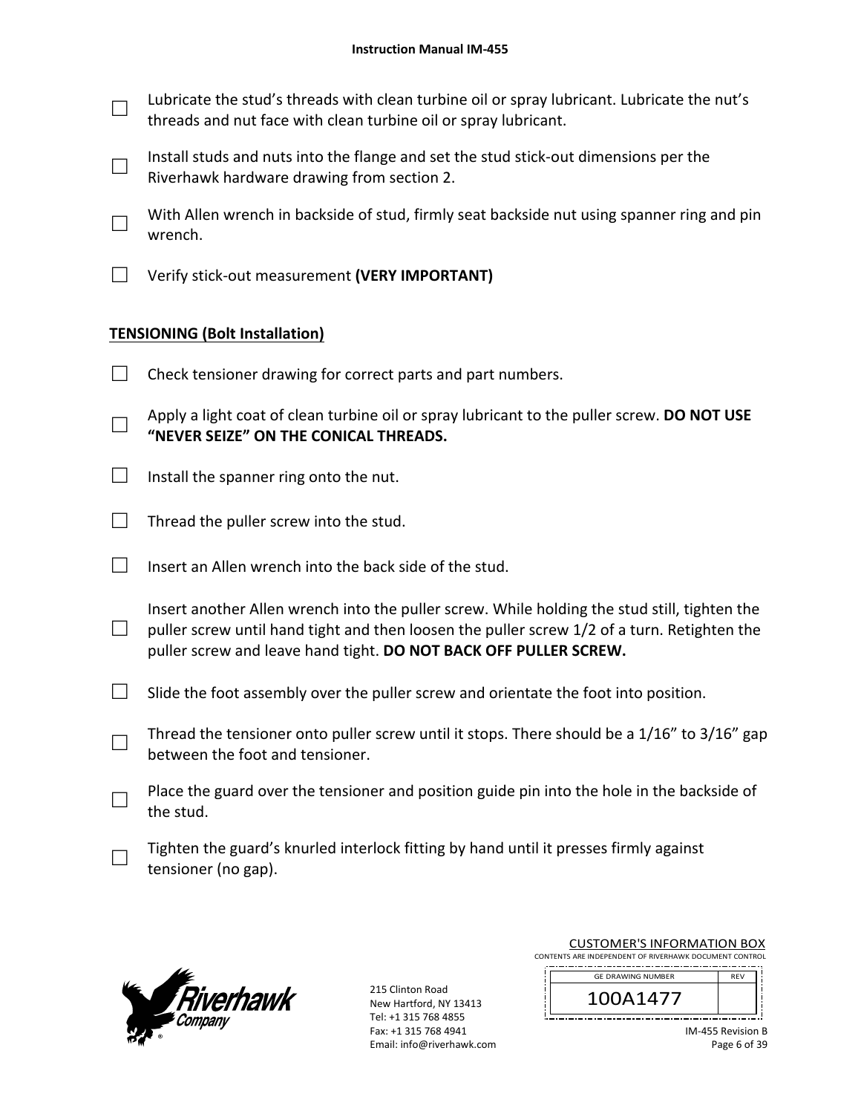□ Lubricate the stud's threads with clean turbine oil or spray lubricant. Lubricate the nut's threads and nut face with clean turbine oil or spray lubricant.

□ Install studs and nuts into the flange and set the stud stick‐out dimensions per the Riverhawk hardware drawing from section 2.

□ With Allen wrench in backside of stud, firmly seat backside nut using spanner ring and pin wrench.

□ Verify stick‐out measurement **(VERY IMPORTANT)**

# **TENSIONING (Bolt Installation)**

- $\Box$  Check tensioner drawing for correct parts and part numbers.
- □ Apply a light coat of clean turbine oil or spray lubricant to the puller screw. **DO NOT USE "NEVER SEIZE" ON THE CONICAL THREADS.**
- $\Box$  Install the spanner ring onto the nut.
- $\Box$  Thread the puller screw into the stud.
- $\Box$  Insert an Allen wrench into the back side of the stud.

□ Insert another Allen wrench into the puller screw. While holding the stud still, tighten the puller screw until hand tight and then loosen the puller screw 1/2 of a turn. Retighten the puller screw and leave hand tight. **DO NOT BACK OFF PULLER SCREW.**

- $\Box$  Slide the foot assembly over the puller screw and orientate the foot into position.
- □ Thread the tensioner onto puller screw until it stops. There should be a 1/16" to 3/16" gap between the foot and tensioner.
- □ Place the guard over the tensioner and position guide pin into the hole in the backside of the stud.
- □ Tighten the guard's knurled interlock fitting by hand until it presses firmly against tensioner (no gap).



215 Clinton Road New Hartford, NY 13413 Tel: +1 315 768 4855 Fax: +1 315 768 4941 Email: info@riverhawk.com

| <b>CUSTOMER'S INFORMATION BOX</b>                      |  |  |
|--------------------------------------------------------|--|--|
| CONTENTS ARE INDEPENDENT OF RIVERHAWK DOCUMENT CONTROL |  |  |
|                                                        |  |  |

j

| <b>GE DRAWING NUMBER</b> |  |
|--------------------------|--|
|                          |  |
|                          |  |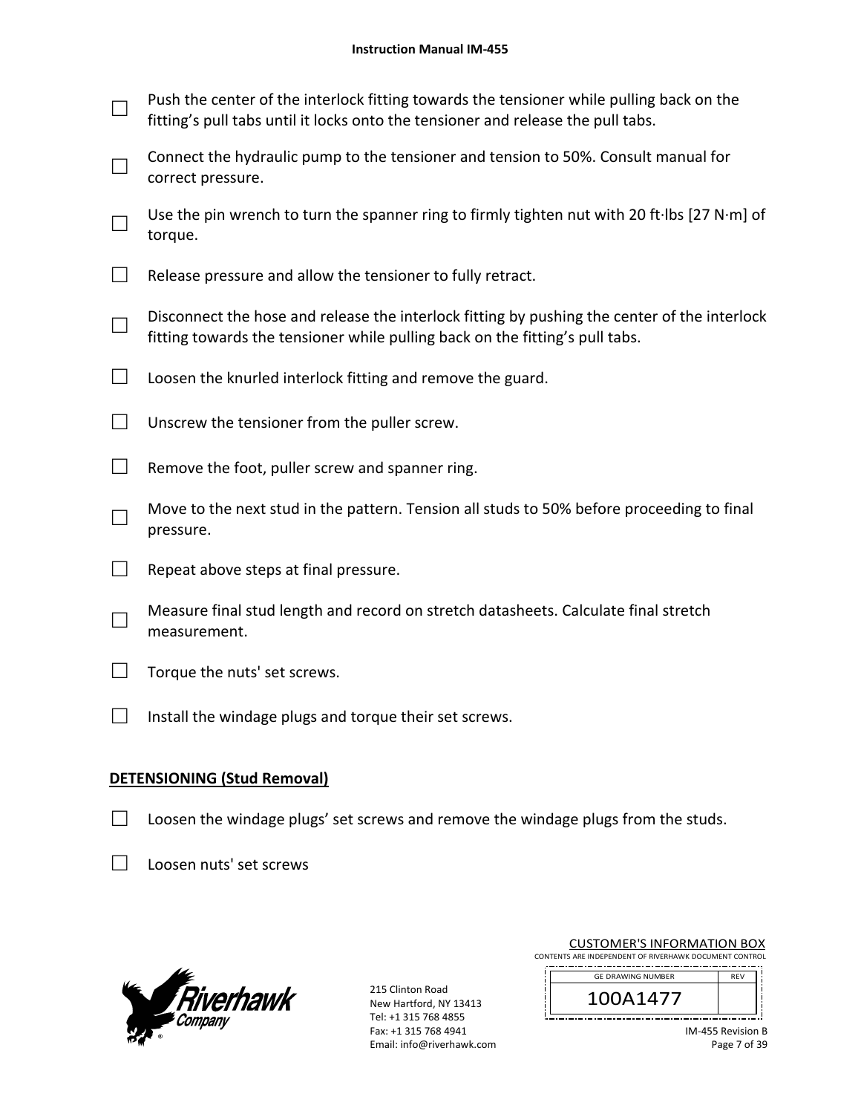#### **Instruction Manual IM‐455**

| Push the center of the interlock fitting towards the tensioner while pulling back on the |
|------------------------------------------------------------------------------------------|
| fitting's pull tabs until it locks onto the tensioner and release the pull tabs.         |

- □ Connect the hydraulic pump to the tensioner and tension to 50%. Consult manual for correct pressure.
- □ Use the pin wrench to turn the spanner ring to firmly tighten nut with 20 ft∙lbs [27 N∙m] of torque.
- $\Box$  Release pressure and allow the tensioner to fully retract.
- □ Disconnect the hose and release the interlock fitting by pushing the center of the interlock fitting towards the tensioner while pulling back on the fitting's pull tabs.
- $\Box$  Loosen the knurled interlock fitting and remove the guard.
- $\Box$  Unscrew the tensioner from the puller screw.
- $\Box$  Remove the foot, puller screw and spanner ring.
- □ Move to the next stud in the pattern. Tension all studs to 50% before proceeding to final pressure.
- $\Box$  Repeat above steps at final pressure.
- □ Measure final stud length and record on stretch datasheets. Calculate final stretch measurement.
- $\Box$  Torque the nuts' set screws.
- $\Box$  Install the windage plugs and torque their set screws.

### **DETENSIONING (Stud Removal)**

- $\Box$  Loosen the windage plugs' set screws and remove the windage plugs from the studs.
- □ Loosen nuts' set screws



215 Clinton Road New Hartford, NY 13413 Tel: +1 315 768 4855 Fax: +1 315 768 4941 Email: info@riverhawk.com

| CUSTUIVIER STINFURIVIATION BUA                         |            |
|--------------------------------------------------------|------------|
| CONTENTS ARE INDEPENDENT OF RIVERHAWK DOCUMENT CONTROL |            |
| <b>GE DRAWING NUMBER</b>                               | <b>RFV</b> |
| 100A1477                                               |            |
|                                                        |            |

CUSTOMER'S INFORMATION BOY

| <b>GE DRAWING NUMBER</b> |  |
|--------------------------|--|
| I 47                     |  |
|                          |  |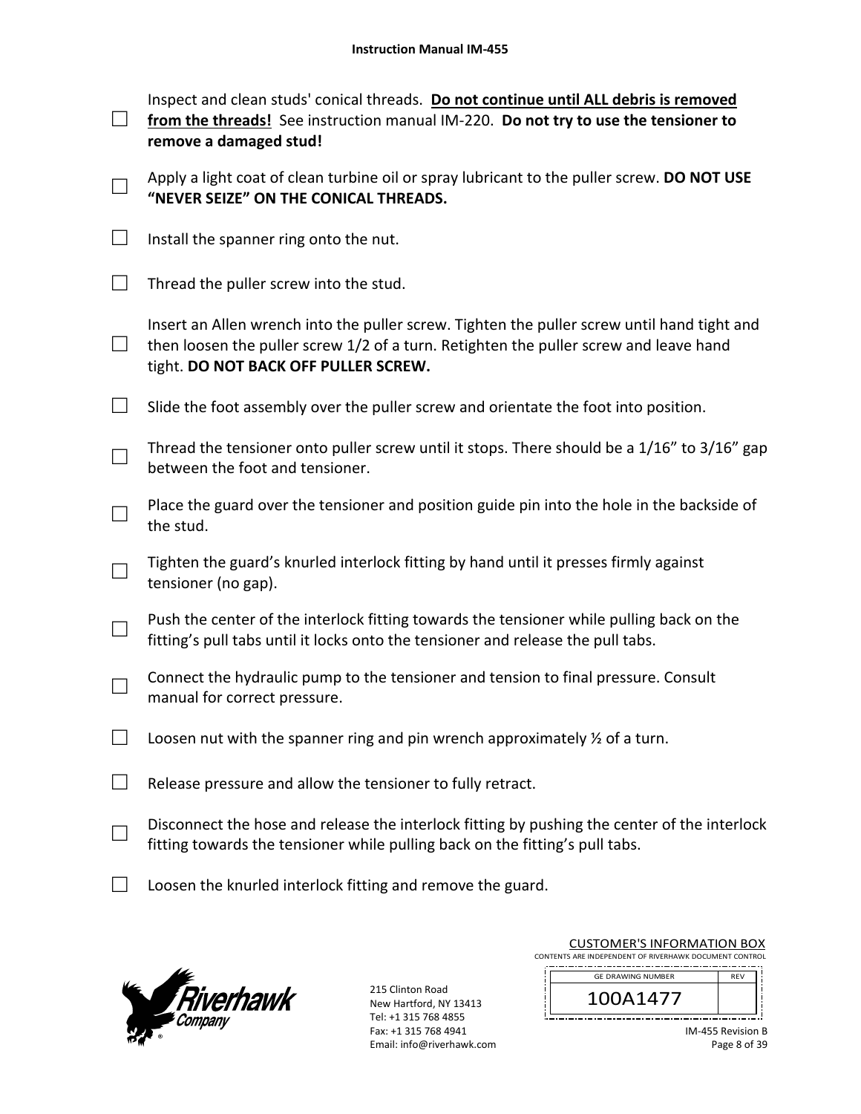|                             | Inspect and clean studs' conical threads. Do not continue until ALL debris is removed<br>from the threads! See instruction manual IM-220. Do not try to use the tensioner to<br>remove a damaged stud!                       |
|-----------------------------|------------------------------------------------------------------------------------------------------------------------------------------------------------------------------------------------------------------------------|
|                             | Apply a light coat of clean turbine oil or spray lubricant to the puller screw. DO NOT USE<br>"NEVER SEIZE" ON THE CONICAL THREADS.                                                                                          |
| $\Box$                      | Install the spanner ring onto the nut.                                                                                                                                                                                       |
| $\mathcal{L}^{\mathcal{A}}$ | Thread the puller screw into the stud.                                                                                                                                                                                       |
| $\mathcal{L}$               | Insert an Allen wrench into the puller screw. Tighten the puller screw until hand tight and<br>then loosen the puller screw 1/2 of a turn. Retighten the puller screw and leave hand<br>tight. DO NOT BACK OFF PULLER SCREW. |
| $\Box$                      | Slide the foot assembly over the puller screw and orientate the foot into position.                                                                                                                                          |
|                             | Thread the tensioner onto puller screw until it stops. There should be a 1/16" to 3/16" gap<br>between the foot and tensioner.                                                                                               |
|                             | Place the guard over the tensioner and position guide pin into the hole in the backside of<br>the stud.                                                                                                                      |
|                             | Tighten the guard's knurled interlock fitting by hand until it presses firmly against<br>tensioner (no gap).                                                                                                                 |
|                             | Push the center of the interlock fitting towards the tensioner while pulling back on the<br>fitting's pull tabs until it locks onto the tensioner and release the pull tabs.                                                 |
|                             | Connect the hydraulic pump to the tensioner and tension to final pressure. Consult<br>manual for correct pressure.                                                                                                           |
|                             | Loosen nut with the spanner ring and pin wrench approximately $\frac{1}{2}$ of a turn.                                                                                                                                       |
|                             | Release pressure and allow the tensioner to fully retract.                                                                                                                                                                   |
|                             | Disconnect the hose and release the interlock fitting by pushing the center of the interlock<br>fitting towards the tensioner while pulling back on the fitting's pull tabs.                                                 |
|                             | Loosen the knurled interlock fitting and remove the guard.                                                                                                                                                                   |



| <b>CUSTOMER'S INFORMATION BOX</b>                      |  |
|--------------------------------------------------------|--|
| CONTENTS ARE INDEPENDENT OF RIVERHAWK DOCUMENT CONTROL |  |
| <b>GE DRAWING NUMBER</b>                               |  |

| <b>GE DRAWING NUMBER</b> | REV |
|--------------------------|-----|
| ,,                       |     |
|                          |     |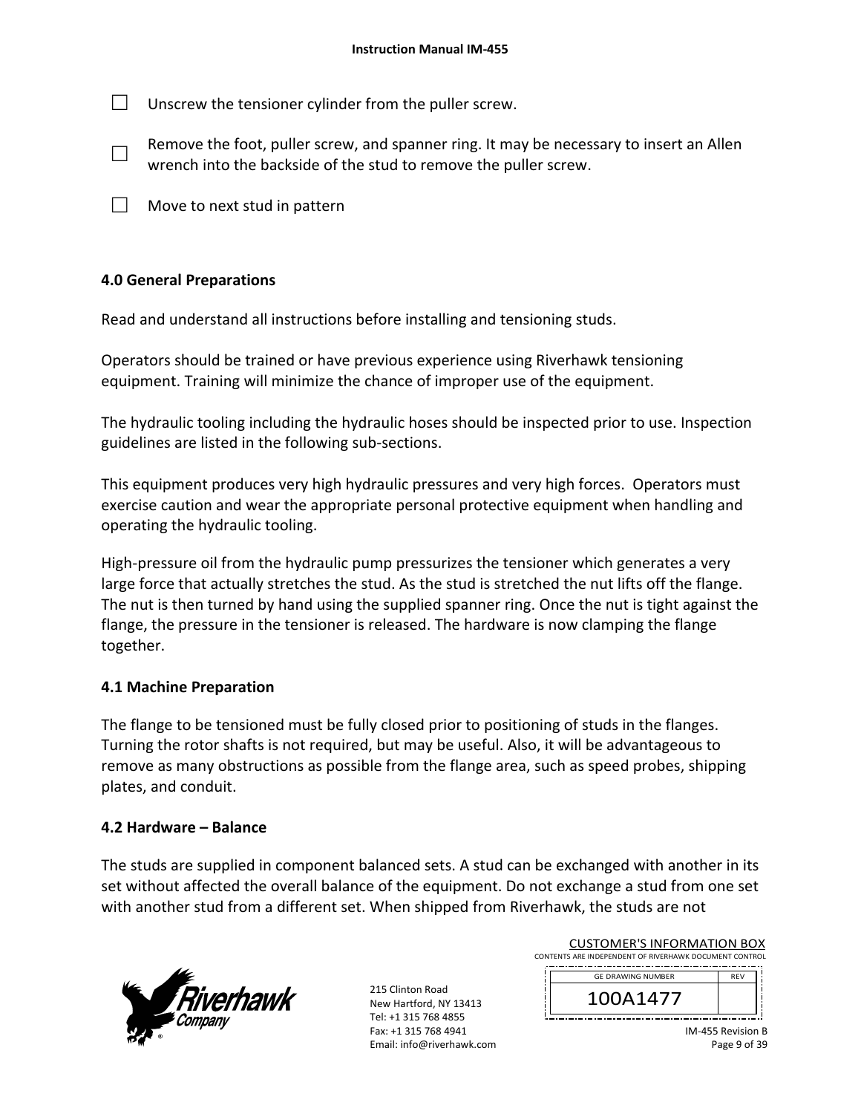$\Box$  Unscrew the tensioner cylinder from the puller screw.

- □ Remove the foot, puller screw, and spanner ring. It may be necessary to insert an Allen wrench into the backside of the stud to remove the puller screw.
- $\Box$  Move to next stud in pattern

# **4.0 General Preparations**

Read and understand all instructions before installing and tensioning studs.

Operators should be trained or have previous experience using Riverhawk tensioning equipment. Training will minimize the chance of improper use of the equipment.

The hydraulic tooling including the hydraulic hoses should be inspected prior to use. Inspection guidelines are listed in the following sub‐sections.

This equipment produces very high hydraulic pressures and very high forces. Operators must exercise caution and wear the appropriate personal protective equipment when handling and operating the hydraulic tooling.

High-pressure oil from the hydraulic pump pressurizes the tensioner which generates a very large force that actually stretches the stud. As the stud is stretched the nut lifts off the flange. The nut is then turned by hand using the supplied spanner ring. Once the nut is tight against the flange, the pressure in the tensioner is released. The hardware is now clamping the flange together.

### **4.1 Machine Preparation**

The flange to be tensioned must be fully closed prior to positioning of studs in the flanges. Turning the rotor shafts is not required, but may be useful. Also, it will be advantageous to remove as many obstructions as possible from the flange area, such as speed probes, shipping plates, and conduit.

# **4.2 Hardware – Balance**

The studs are supplied in component balanced sets. A stud can be exchanged with another in its set without affected the overall balance of the equipment. Do not exchange a stud from one set with another stud from a different set. When shipped from Riverhawk, the studs are not



215 Clinton Road New Hartford, NY 13413 Tel: +1 315 768 4855 Fax: +1 315 768 4941 Email: info@riverhawk.com

| <b>GE DRAWING NUMBER</b>                               | <b>RFV</b> |  |
|--------------------------------------------------------|------------|--|
| CONTENTS ARE INDEPENDENT OF RIVERHAWK DOCUMENT CONTROL |            |  |
| CUSTUIVIER STINFURIVIATION BUX                         |            |  |

CUSTOMER'S INFORMATION BOY

| ŗ<br>A147 |                   |  |
|-----------|-------------------|--|
|           |                   |  |
|           | <b>Revision B</b> |  |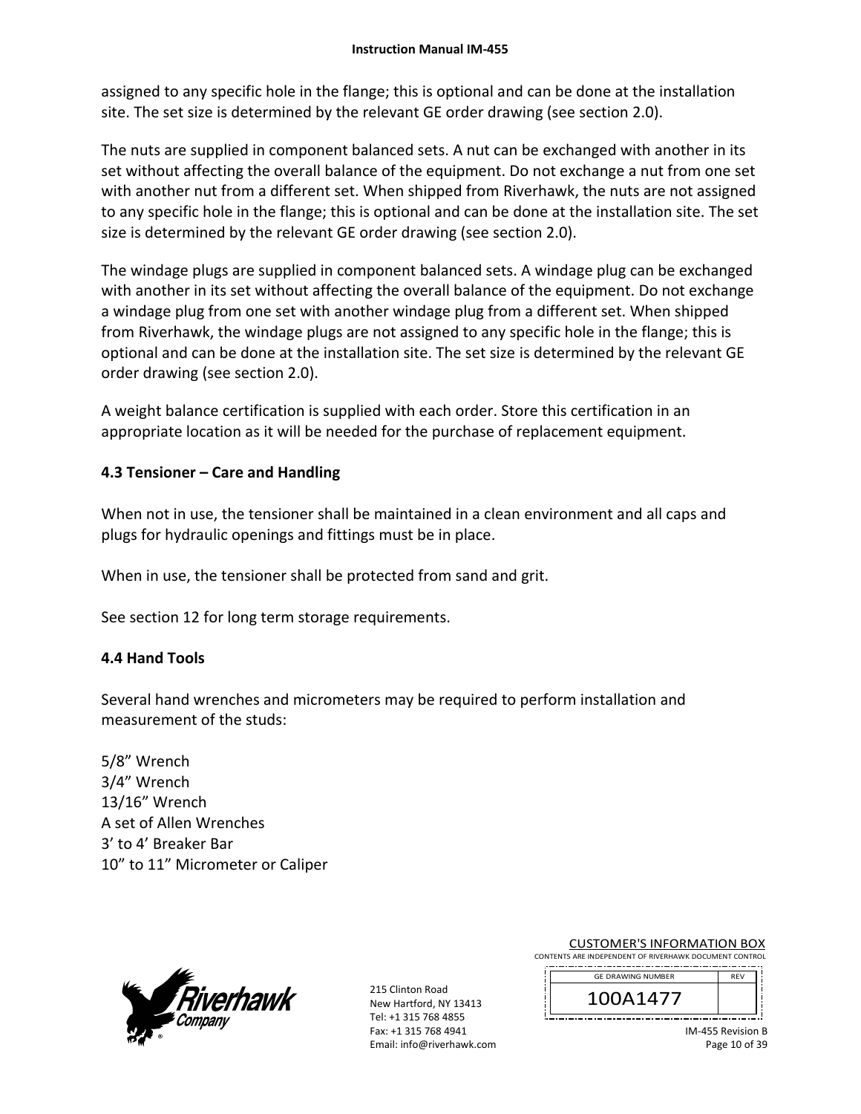assigned to any specific hole in the flange; this is optional and can be done at the installation site. The set size is determined by the relevant GE order drawing (see section 2.0).

The nuts are supplied in component balanced sets. A nut can be exchanged with another in its set without affecting the overall balance of the equipment. Do not exchange a nut from one set with another nut from a different set. When shipped from Riverhawk, the nuts are not assigned to any specific hole in the flange; this is optional and can be done at the installation site. The set size is determined by the relevant GE order drawing (see section 2.0).

The windage plugs are supplied in component balanced sets. A windage plug can be exchanged with another in its set without affecting the overall balance of the equipment. Do not exchange a windage plug from one set with another windage plug from a different set. When shipped from Riverhawk, the windage plugs are not assigned to any specific hole in the flange; this is optional and can be done at the installation site. The set size is determined by the relevant GE order drawing (see section 2.0).

A weight balance certification is supplied with each order. Store this certification in an appropriate location as it will be needed for the purchase of replacement equipment.

# **4.3 Tensioner – Care and Handling**

When not in use, the tensioner shall be maintained in a clean environment and all caps and plugs for hydraulic openings and fittings must be in place.

When in use, the tensioner shall be protected from sand and grit.

See section 12 for long term storage requirements.

# **4.4 Hand Tools**

Several hand wrenches and micrometers may be required to perform installation and measurement of the studs:

5/8" Wrench 3/4" Wrench 13/16" Wrench A set of Allen Wrenches 3' to 4' Breaker Bar 10" to 11" Micrometer or Caliper



215 Clinton Road New Hartford, NY 13413 Tel: +1 315 768 4855 Fax: +1 315 768 4941 Email: info@riverhawk.com

CUSTOMER'S INFORMATION BOX CONTENTS ARE INDEPENDENT OF RIVERHAWK DOCUMENT CONTROL

| <b>GE DRAWING NUMBER</b> | <b>REV</b> |  |
|--------------------------|------------|--|
|                          |            |  |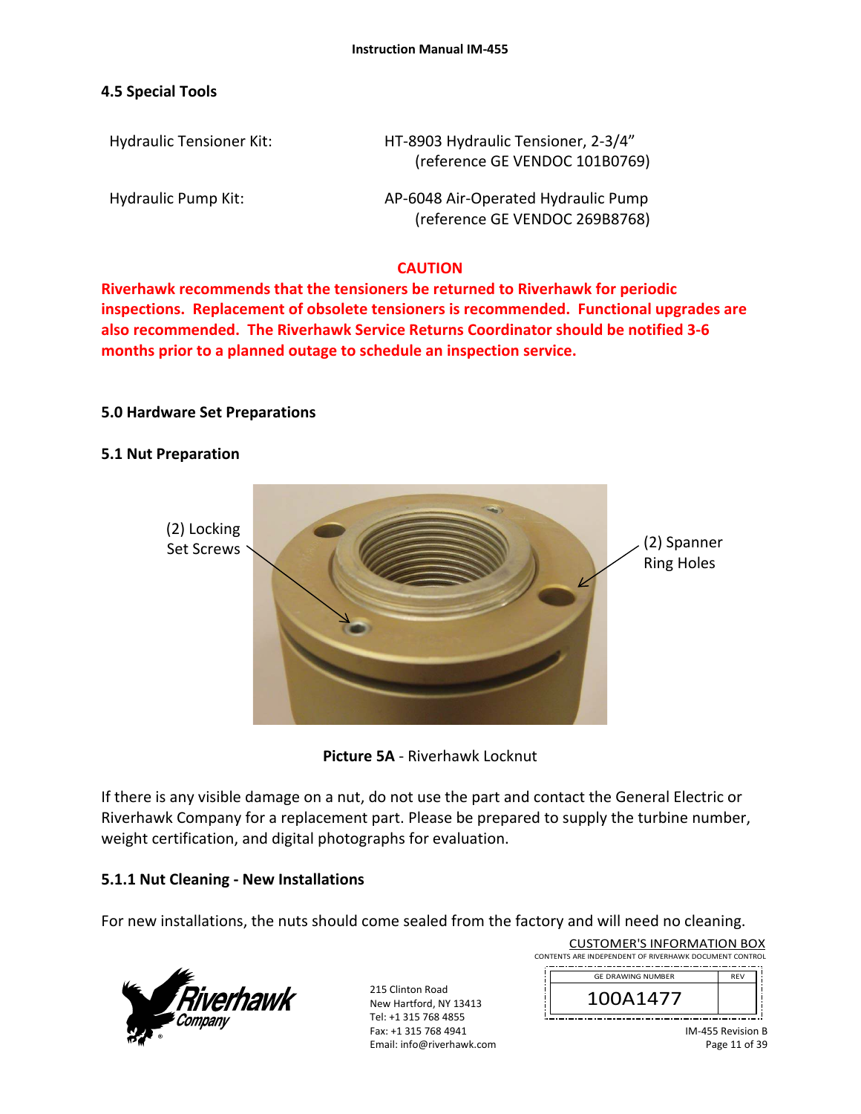## **4.5 Special Tools**

Hydraulic Tensioner Kit: 
HT-8903 Hydraulic Tensioner, 2-3/4" (reference GE VENDOC 101B0769)

Hydraulic Pump Kit: 
and the AP-6048 Air-Operated Hydraulic Pump (reference GE VENDOC 269B8768)

## **CAUTION**

**Riverhawk recommends that the tensioners be returned to Riverhawk for periodic inspections. Replacement of obsolete tensioners is recommended. Functional upgrades are also recommended. The Riverhawk Service Returns Coordinator should be notified 3‐6 months prior to a planned outage to schedule an inspection service.** 

### **5.0 Hardware Set Preparations**

### **5.1 Nut Preparation**





If there is any visible damage on a nut, do not use the part and contact the General Electric or Riverhawk Company for a replacement part. Please be prepared to supply the turbine number, weight certification, and digital photographs for evaluation.

# **5.1.1 Nut Cleaning ‐ New Installations**

For new installations, the nuts should come sealed from the factory and will need no cleaning.



215 Clinton Road New Hartford, NY 13413 Tel: +1 315 768 4855 Fax: +1 315 768 4941 Email: info@riverhawk.com

| CONTENTS ARE INDEPENDENT OF RIVERHAWK DOCUMENT CONTROL |            |
|--------------------------------------------------------|------------|
| <b>GE DRAWING NUMBER</b>                               | <b>RFV</b> |
| 100A1477                                               |            |

CUSTOMER'S INFORMATION BOX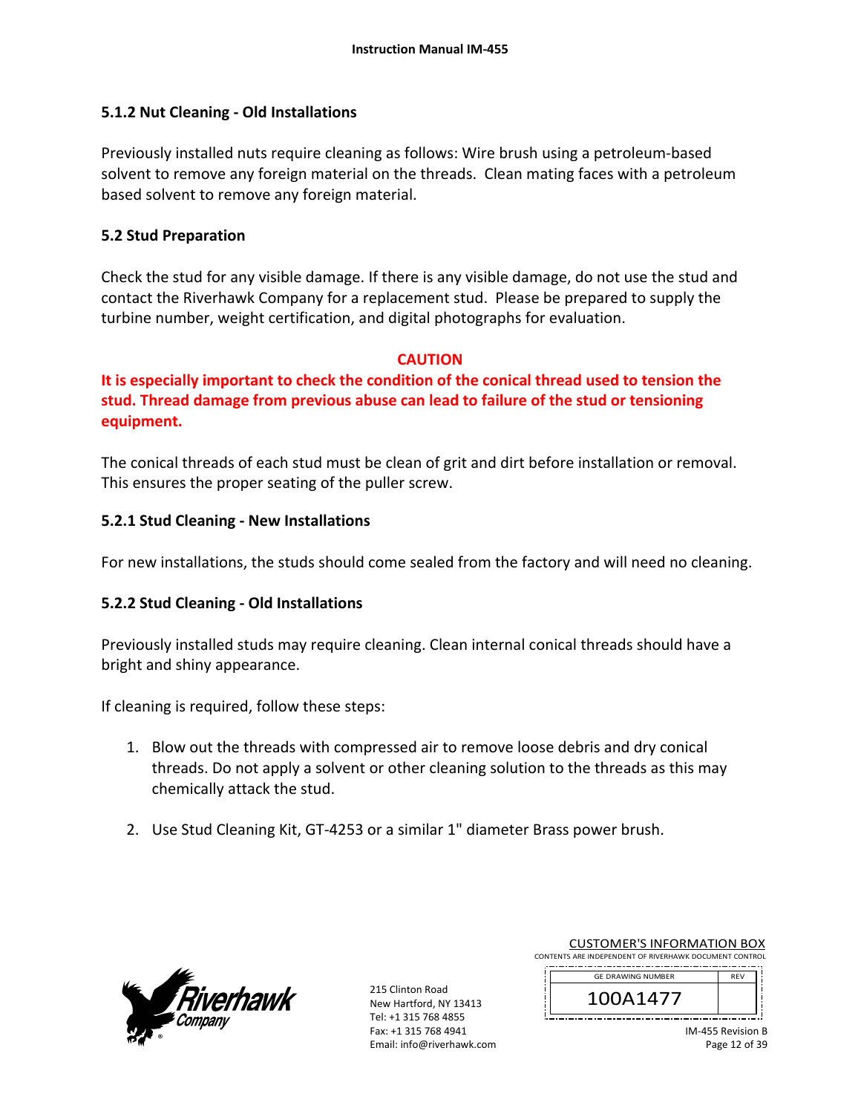## **5.1.2 Nut Cleaning ‐ Old Installations**

Previously installed nuts require cleaning as follows: Wire brush using a petroleum‐based solvent to remove any foreign material on the threads. Clean mating faces with a petroleum based solvent to remove any foreign material.

## **5.2 Stud Preparation**

Check the stud for any visible damage. If there is any visible damage, do not use the stud and contact the Riverhawk Company for a replacement stud. Please be prepared to supply the turbine number, weight certification, and digital photographs for evaluation.

### **CAUTION**

**It is especially important to check the condition of the conical thread used to tension the stud. Thread damage from previous abuse can lead to failure of the stud or tensioning equipment.**

The conical threads of each stud must be clean of grit and dirt before installation or removal. This ensures the proper seating of the puller screw.

## **5.2.1 Stud Cleaning ‐ New Installations**

For new installations, the studs should come sealed from the factory and will need no cleaning.

# **5.2.2 Stud Cleaning ‐ Old Installations**

Previously installed studs may require cleaning. Clean internal conical threads should have a bright and shiny appearance.

If cleaning is required, follow these steps:

- 1. Blow out the threads with compressed air to remove loose debris and dry conical threads. Do not apply a solvent or other cleaning solution to the threads as this may chemically attack the stud.
- 2. Use Stud Cleaning Kit, GT‐4253 or a similar 1" diameter Brass power brush.



| <b>CUSTOMER'S INFORMATION BOX</b>                      |  |  |
|--------------------------------------------------------|--|--|
| CONTENTS ARE INDEPENDENT OF RIVERHAWK DOCUMENT CONTROL |  |  |
|                                                        |  |  |

| <b>GE DRAWING NUMBER</b> |  |
|--------------------------|--|
|                          |  |
| \`  4 / ,                |  |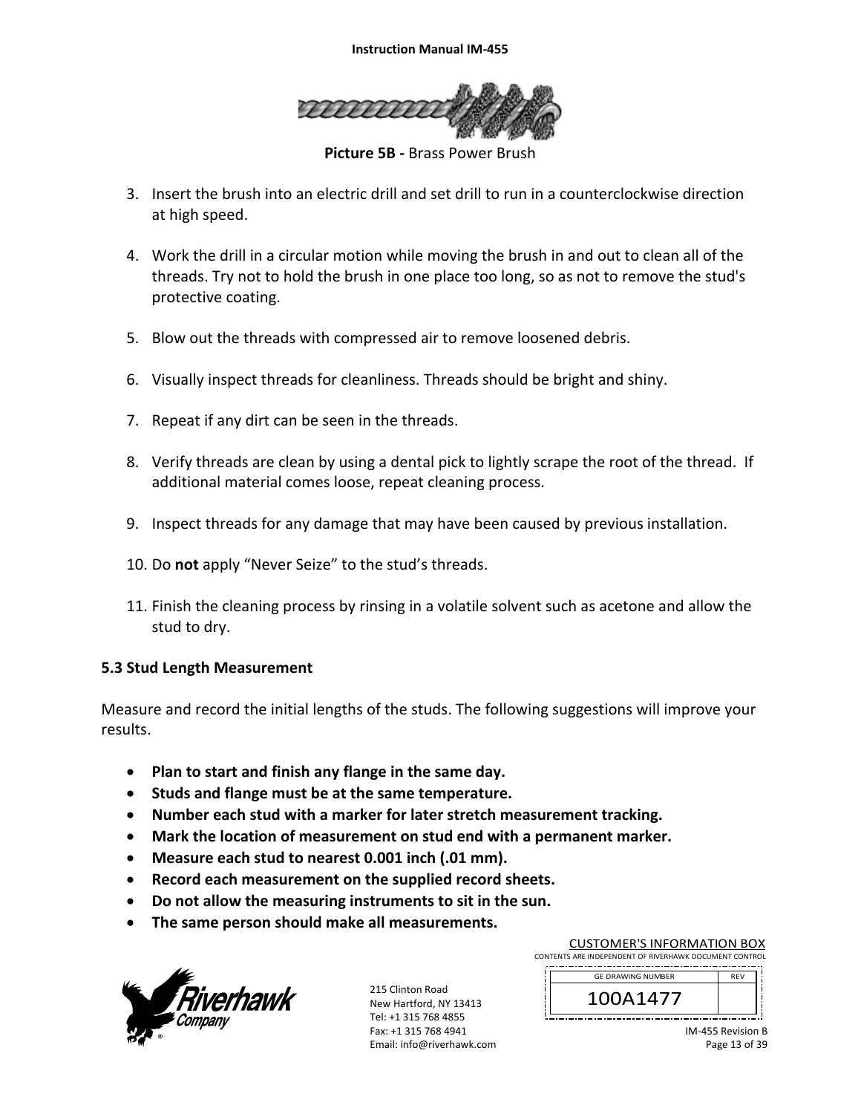

**Picture 5B ‐** Brass Power Brush

- 3. Insert the brush into an electric drill and set drill to run in a counterclockwise direction at high speed.
- 4. Work the drill in a circular motion while moving the brush in and out to clean all of the threads. Try not to hold the brush in one place too long, so as not to remove the stud's protective coating.
- 5. Blow out the threads with compressed air to remove loosened debris.
- 6. Visually inspect threads for cleanliness. Threads should be bright and shiny.
- 7. Repeat if any dirt can be seen in the threads.
- 8. Verify threads are clean by using a dental pick to lightly scrape the root of the thread. If additional material comes loose, repeat cleaning process.
- 9. Inspect threads for any damage that may have been caused by previous installation.
- 10. Do **not** apply "Never Seize" to the stud's threads.
- 11. Finish the cleaning process by rinsing in a volatile solvent such as acetone and allow the stud to dry.

### **5.3 Stud Length Measurement**

Measure and record the initial lengths of the studs. The following suggestions will improve your results.

- **Plan to start and finish any flange in the same day.**
- **Studs and flange must be at the same temperature.**
- **Number each stud with a marker for later stretch measurement tracking.**
- **Mark the location of measurement on stud end with a permanent marker.**
- **Measure each stud to nearest 0.001 inch (.01 mm).**
- **Record each measurement on the supplied record sheets.**
- **Do not allow the measuring instruments to sit in the sun.**
- **The same person should make all measurements.**



215 Clinton Road New Hartford, NY 13413 Tel: +1 315 768 4855 Fax: +1 315 768 4941 Email: info@riverhawk.com

CUSTOMER'S INFORMATION BOX CONTENTS ARE INDEPENDENT OF RIVERHAWK DOCUMENT CONTROL 

| <b>GE DRAWING NUMBER</b> | REV |
|--------------------------|-----|
|                          |     |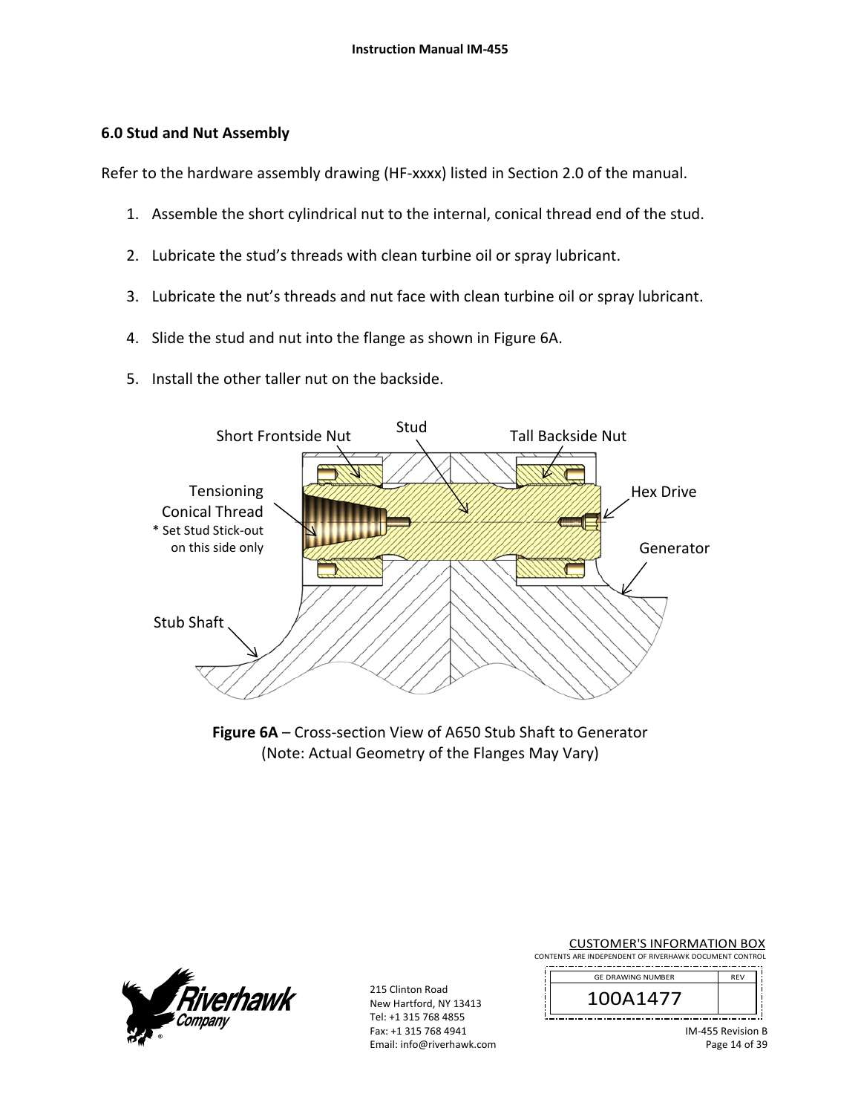### **6.0 Stud and Nut Assembly**

Refer to the hardware assembly drawing (HF‐xxxx) listed in Section 2.0 of the manual.

- 1. Assemble the short cylindrical nut to the internal, conical thread end of the stud.
- 2. Lubricate the stud's threads with clean turbine oil or spray lubricant.
- 3. Lubricate the nut's threads and nut face with clean turbine oil or spray lubricant.
- 4. Slide the stud and nut into the flange as shown in Figure 6A.
- 5. Install the other taller nut on the backside.



Figure 6A – Cross-section View of A650 Stub Shaft to Generator (Note: Actual Geometry of the Flanges May Vary)



215 Clinton Road New Hartford, NY 13413 Tel: +1 315 768 4855 Fax: +1 315 768 4941 Email: info@riverhawk.com

CUSTOMER'S INFORMATION BOX CONTENTS ARE INDEPENDENT OF RIVERHAWK DOCUMENT CONTROL

| <b>RFV</b> | <b>GE DRAWING NUMBER</b> |
|------------|--------------------------|
|            |                          |
|            |                          |

j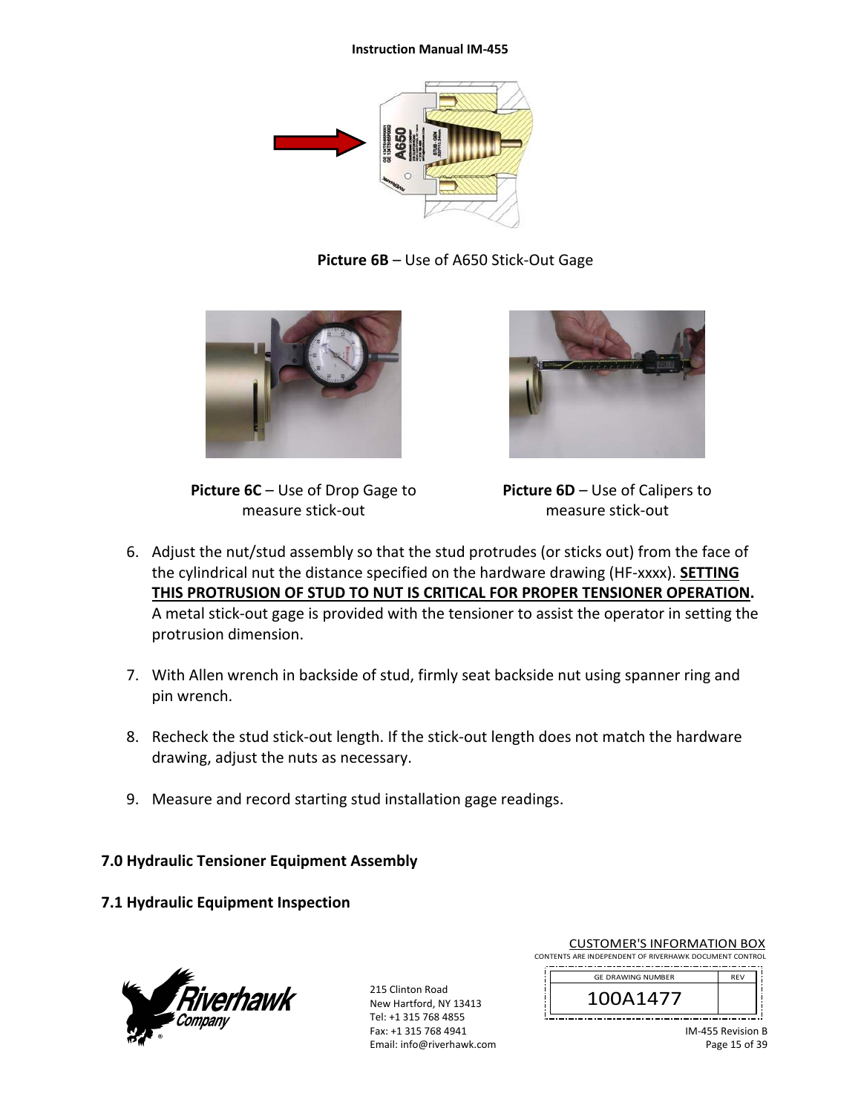#### **Instruction Manual IM‐455**



**Picture 6B** – Use of A650 Stick‐Out Gage



**Picture 6C** – Use of Drop Gage to measure stick‐out



**Picture 6D** – Use of Calipers to measure stick‐out

- 6. Adjust the nut/stud assembly so that the stud protrudes (or sticks out) from the face of the cylindrical nut the distance specified on the hardware drawing (HF‐xxxx). **SETTING THIS PROTRUSION OF STUD TO NUT IS CRITICAL FOR PROPER TENSIONER OPERATION.** A metal stick‐out gage is provided with the tensioner to assist the operator in setting the protrusion dimension.
- 7. With Allen wrench in backside of stud, firmly seat backside nut using spanner ring and pin wrench.
- 8. Recheck the stud stick-out length. If the stick-out length does not match the hardware drawing, adjust the nuts as necessary.
- 9. Measure and record starting stud installation gage readings.

**7.0 Hydraulic Tensioner Equipment Assembly**

**7.1 Hydraulic Equipment Inspection** 



215 Clinton Road New Hartford, NY 13413 Tel: +1 315 768 4855 Fax: +1 315 768 4941 Email: info@riverhawk.com

| <b>CUSTOMER'S INFORMATION BOX</b>                      |                          |            |  |  |  |  |
|--------------------------------------------------------|--------------------------|------------|--|--|--|--|
| CONTENTS ARE INDEPENDENT OF RIVERHAWK DOCUMENT CONTROL |                          |            |  |  |  |  |
|                                                        | <b>GE DRAWING NUMBER</b> | <b>RFV</b> |  |  |  |  |
|                                                        | 100A1477                 |            |  |  |  |  |

| <b>GE DRAWING NUMBER</b> | <b>REV</b> |
|--------------------------|------------|
| 1A 147                   |            |
|                          |            |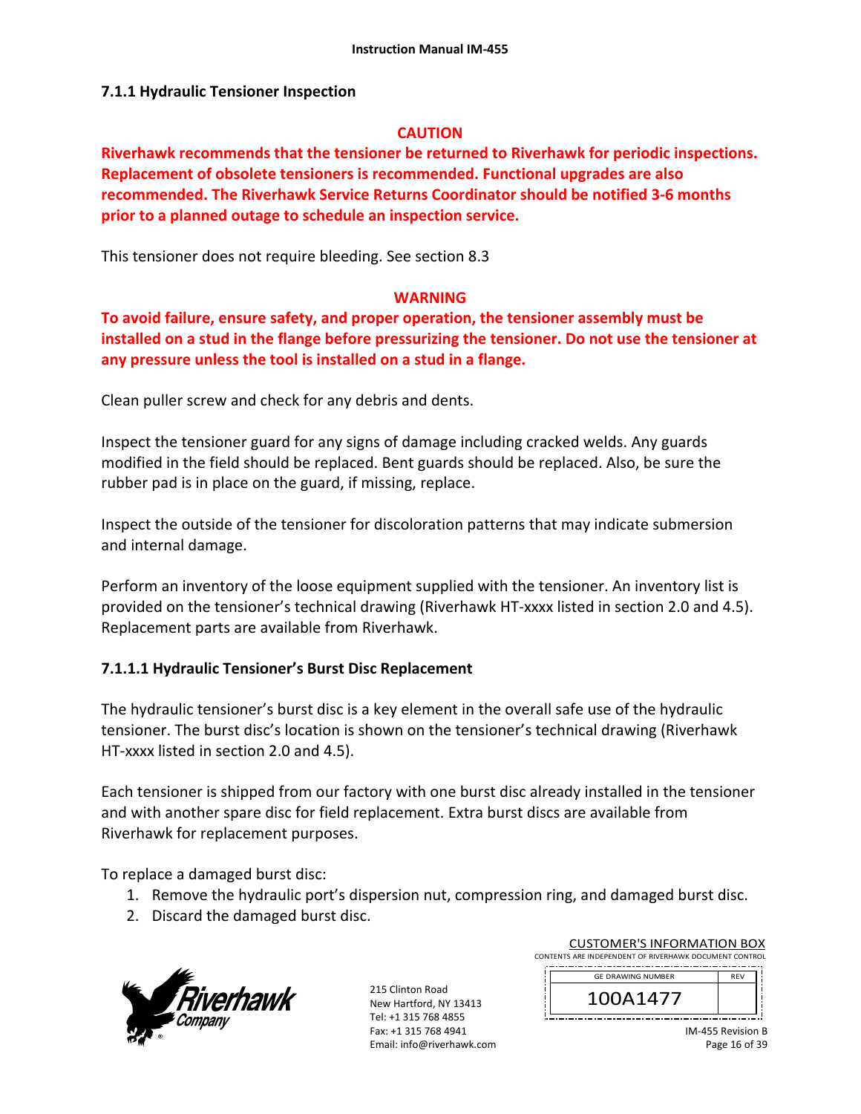## **7.1.1 Hydraulic Tensioner Inspection**

### **CAUTION**

**Riverhawk recommends that the tensioner be returned to Riverhawk for periodic inspections. Replacement of obsolete tensioners is recommended. Functional upgrades are also recommended. The Riverhawk Service Returns Coordinator should be notified 3‐6 months prior to a planned outage to schedule an inspection service.** 

This tensioner does not require bleeding. See section 8.3

### **WARNING**

**To avoid failure, ensure safety, and proper operation, the tensioner assembly must be installed on a stud in the flange before pressurizing the tensioner. Do not use the tensioner at any pressure unless the tool is installed on a stud in a flange.** 

Clean puller screw and check for any debris and dents.

Inspect the tensioner guard for any signs of damage including cracked welds. Any guards modified in the field should be replaced. Bent guards should be replaced. Also, be sure the rubber pad is in place on the guard, if missing, replace.

Inspect the outside of the tensioner for discoloration patterns that may indicate submersion and internal damage.

Perform an inventory of the loose equipment supplied with the tensioner. An inventory list is provided on the tensioner's technical drawing (Riverhawk HT‐xxxx listed in section 2.0 and 4.5). Replacement parts are available from Riverhawk.

# **7.1.1.1 Hydraulic Tensioner's Burst Disc Replacement**

The hydraulic tensioner's burst disc is a key element in the overall safe use of the hydraulic tensioner. The burst disc's location is shown on the tensioner's technical drawing (Riverhawk HT-xxxx listed in section 2.0 and 4.5).

Each tensioner is shipped from our factory with one burst disc already installed in the tensioner and with another spare disc for field replacement. Extra burst discs are available from Riverhawk for replacement purposes.

To replace a damaged burst disc:

- 1. Remove the hydraulic port's dispersion nut, compression ring, and damaged burst disc.
- 2. Discard the damaged burst disc.



| <b>CUSTOMER'S INFORMATION BOX</b>                      |  |
|--------------------------------------------------------|--|
| CONTENTS ARE INDEPENDENT OF RIVERHAWK DOCUMENT CONTROL |  |
| <b>CONTRACTOR</b> CONTRACTOR                           |  |

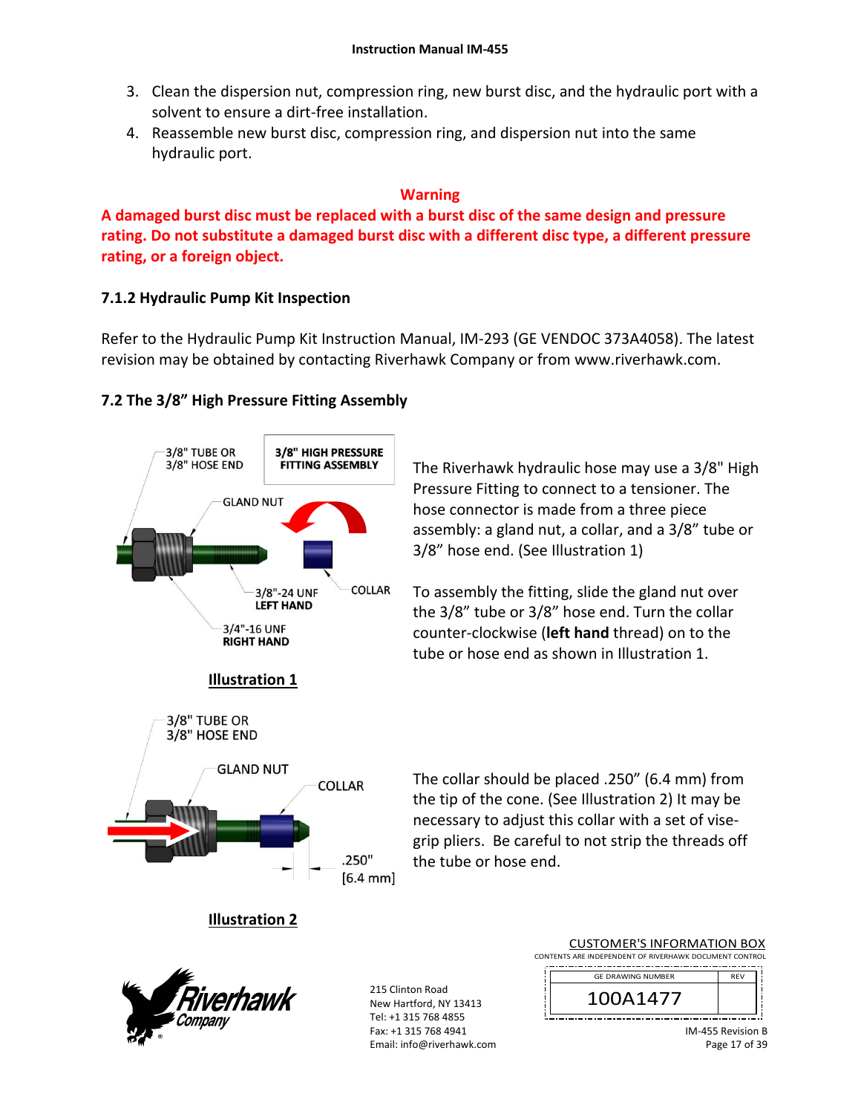- 3. Clean the dispersion nut, compression ring, new burst disc, and the hydraulic port with a solvent to ensure a dirt‐free installation.
- 4. Reassemble new burst disc, compression ring, and dispersion nut into the same hydraulic port.

### **Warning**

**A damaged burst disc must be replaced with a burst disc of the same design and pressure rating. Do not substitute a damaged burst disc with a different disc type, a different pressure rating, or a foreign object.**

# **7.1.2 Hydraulic Pump Kit Inspection**

Refer to the Hydraulic Pump Kit Instruction Manual, IM‐293 (GE VENDOC 373A4058). The latest revision may be obtained by contacting Riverhawk Company or from www.riverhawk.com.

# **7.2 The 3/8" High Pressure Fitting Assembly**



The Riverhawk hydraulic hose may use a 3/8" High Pressure Fitting to connect to a tensioner. The hose connector is made from a three piece assembly: a gland nut, a collar, and a 3/8" tube or 3/8" hose end. (See Illustration 1)

To assembly the fitting, slide the gland nut over the 3/8" tube or 3/8" hose end. Turn the collar counter‐clockwise (**left hand** thread) on to the tube or hose end as shown in Illustration 1.

The collar should be placed .250" (6.4 mm) from the tip of the cone. (See Illustration 2) It may be necessary to adjust this collar with a set of vise‐ grip pliers. Be careful to not strip the threads off the tube or hose end.

# **Illustration 2**



215 Clinton Road New Hartford, NY 13413 Tel: +1 315 768 4855 Fax: +1 315 768 4941 Email: info@riverhawk.com

|                                                        | <b>CUSTOMER'S INFORMATION BOX</b> |  |  |  |
|--------------------------------------------------------|-----------------------------------|--|--|--|
| CONTENTS ARE INDEPENDENT OF RIVERHAWK DOCUMENT CONTROL |                                   |  |  |  |



IM‐455 Revision B Page 17 of 39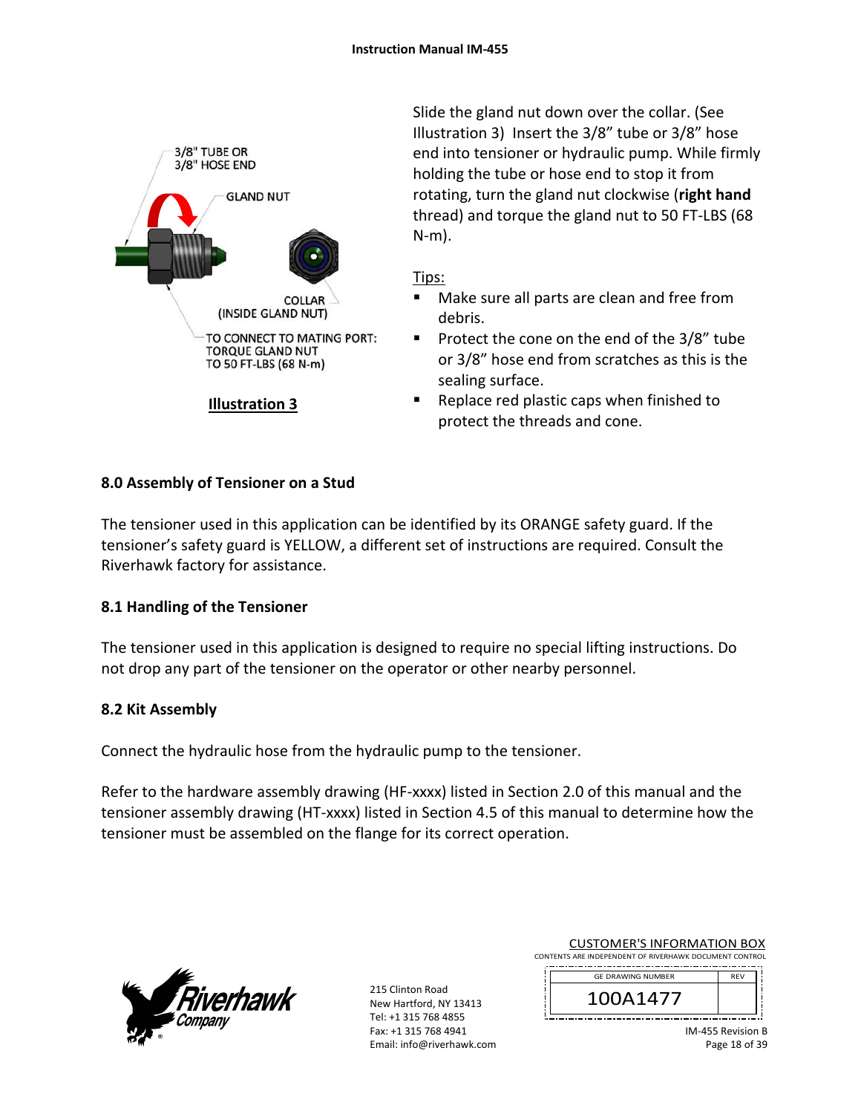

Slide the gland nut down over the collar. (See Illustration 3) Insert the 3/8" tube or 3/8" hose end into tensioner or hydraulic pump. While firmly holding the tube or hose end to stop it from rotating, turn the gland nut clockwise (**right hand** thread) and torque the gland nut to 50 FT‐LBS (68 N‐m).

## Tips:

- Make sure all parts are clean and free from debris.
- **Protect the cone on the end of the 3/8" tube** or 3/8" hose end from scratches as this is the sealing surface.
- Replace red plastic caps when finished to protect the threads and cone.

## **8.0 Assembly of Tensioner on a Stud**

The tensioner used in this application can be identified by its ORANGE safety guard. If the tensioner's safety guard is YELLOW, a different set of instructions are required. Consult the Riverhawk factory for assistance.

### **8.1 Handling of the Tensioner**

The tensioner used in this application is designed to require no special lifting instructions. Do not drop any part of the tensioner on the operator or other nearby personnel.

### **8.2 Kit Assembly**

Connect the hydraulic hose from the hydraulic pump to the tensioner.

Refer to the hardware assembly drawing (HF-xxxx) listed in Section 2.0 of this manual and the tensioner assembly drawing (HT‐xxxx) listed in Section 4.5 of this manual to determine how the tensioner must be assembled on the flange for its correct operation.



215 Clinton Road New Hartford, NY 13413 Tel: +1 315 768 4855 Fax: +1 315 768 4941 Email: info@riverhawk.com

| <b>CUSTOMER'S INFORMATION BOX</b>                      |
|--------------------------------------------------------|
| CONTENTS ARE INDEPENDENT OF RIVERHAWK DOCUMENT CONTROL |
|                                                        |

j

 $\begin{array}{c} \begin{array}{c} \begin{array}{c} \begin{array}{c} \begin{array}{c} \end{array} \\ \begin{array}{c} \end{array} \\ \begin{array}{c} \end{array} \end{array} \end{array} \end{array}$ 

| <b>GE DRAWING NUMBER</b> | <b>RFV</b> |
|--------------------------|------------|
| A1477                    |            |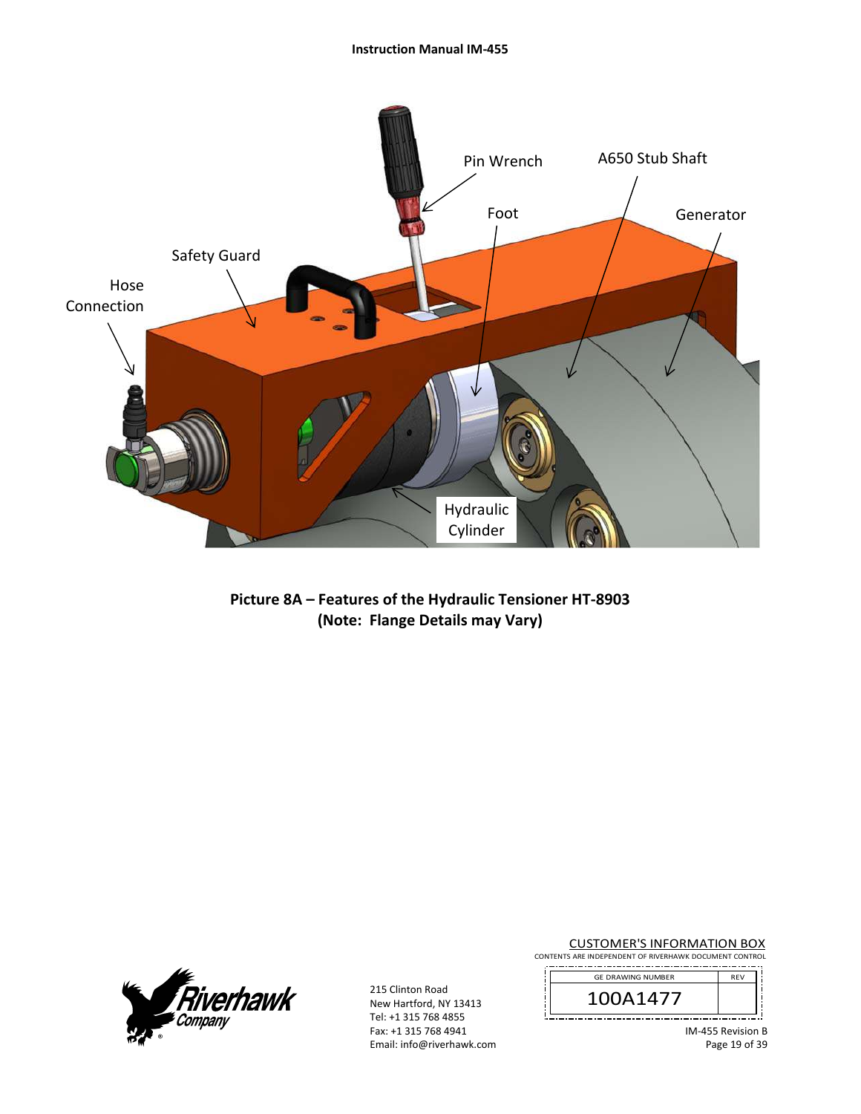#### **Instruction Manual IM‐455**



**Picture 8A – Features of the Hydraulic Tensioner HT‐8903 (Note: Flange Details may Vary)** 



215 Clinton Road New Hartford, NY 13413 Tel: +1 315 768 4855 Fax: +1 315 768 4941 Email: info@riverhawk.com **CUSTOMER'S INFORMATION BOX**<br>CONTENTS ARE INDEPENDENT OF RIVERHAWK DOCUMENT CONTROL

| <b>GE DRAWING NUMBER</b> | <b>RFV</b> |  |  |  |
|--------------------------|------------|--|--|--|
| 141                      |            |  |  |  |

 $\frac{1}{1}$ 

 $\mathbf{i}$ 

IM‐455 Revision B Page 19 of 39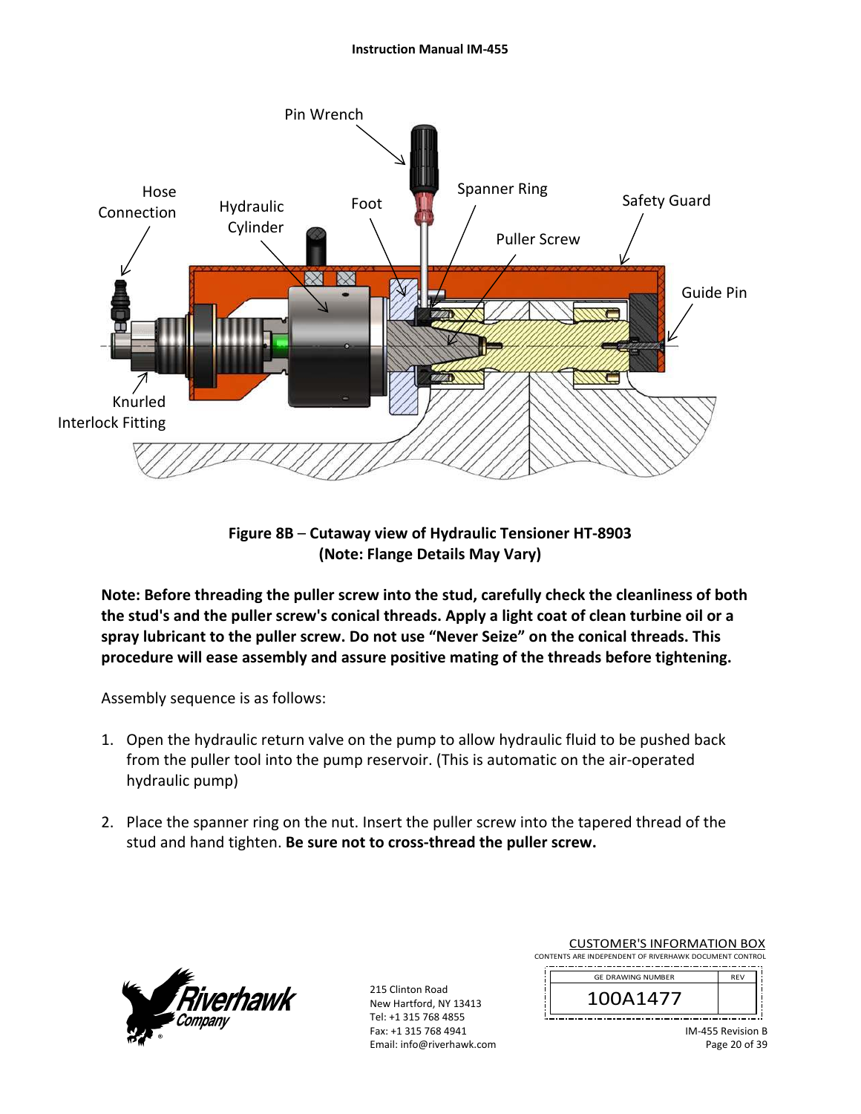#### **Instruction Manual IM‐455**



**Figure 8B** – **Cutaway view of Hydraulic Tensioner HT‐8903 (Note: Flange Details May Vary)**

**Note: Before threading the puller screw into the stud, carefully check the cleanliness of both the stud's and the puller screw's conical threads. Apply a light coat of clean turbine oil or a spray lubricant to the puller screw. Do not use "Never Seize" on the conical threads. This procedure will ease assembly and assure positive mating of the threads before tightening.** 

Assembly sequence is as follows:

- 1. Open the hydraulic return valve on the pump to allow hydraulic fluid to be pushed back from the puller tool into the pump reservoir. (This is automatic on the air‐operated hydraulic pump)
- 2. Place the spanner ring on the nut. Insert the puller screw into the tapered thread of the stud and hand tighten. **Be sure not to cross‐thread the puller screw.**



215 Clinton Road New Hartford, NY 13413 Tel: +1 315 768 4855 Fax: +1 315 768 4941 Email: info@riverhawk.com

| <b>CUSTOMER'S INFORMATION BOX</b>                               |  |
|-----------------------------------------------------------------|--|
| CONTENTS ARE INDEPENDENT OF RIVERHAWK DOCUMENT CONTROL          |  |
| the contract of the contract of the contract of the contract of |  |

|<br>|<br>|<br>|<br>|

| <b>GE DRAWING NUMBER</b> |  |
|--------------------------|--|
|                          |  |
|                          |  |

IM‐455 Revision B Page 20 of 39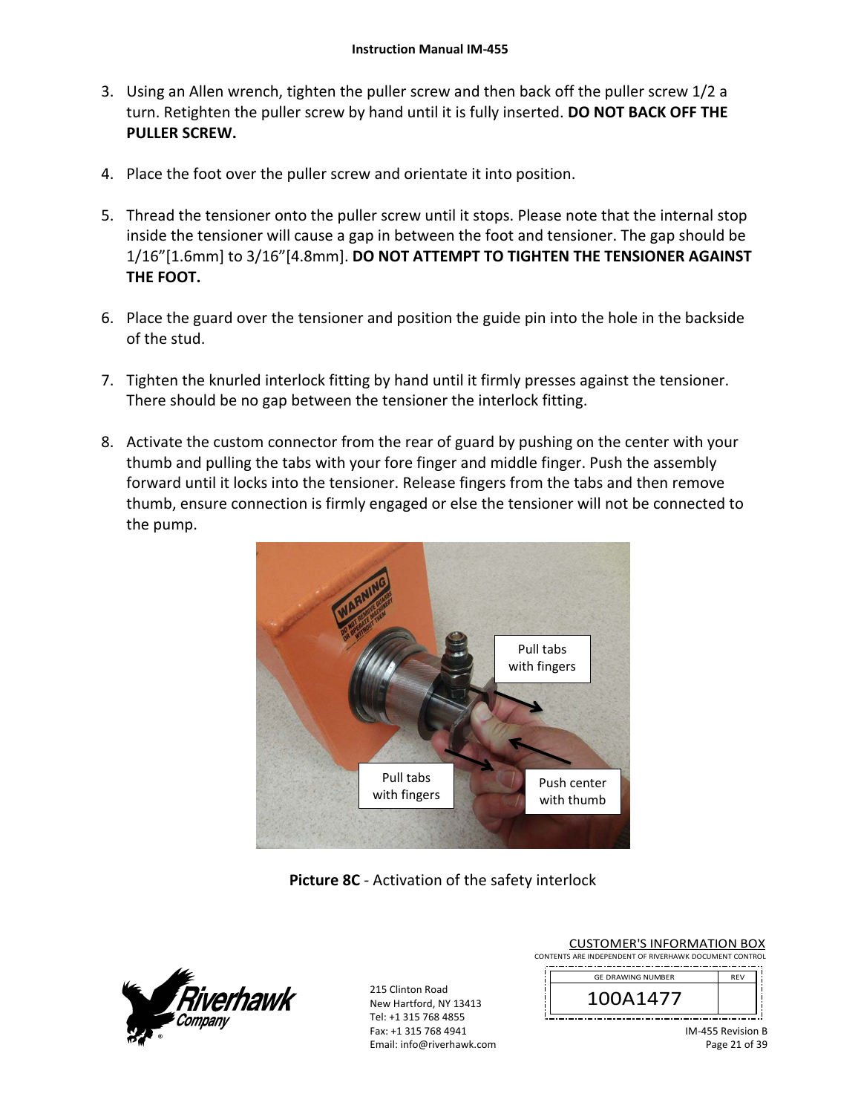- 3. Using an Allen wrench, tighten the puller screw and then back off the puller screw 1/2 a turn. Retighten the puller screw by hand until it is fully inserted. **DO NOT BACK OFF THE PULLER SCREW.**
- 4. Place the foot over the puller screw and orientate it into position.
- 5. Thread the tensioner onto the puller screw until it stops. Please note that the internal stop inside the tensioner will cause a gap in between the foot and tensioner. The gap should be 1/16"[1.6mm] to 3/16"[4.8mm]. **DO NOT ATTEMPT TO TIGHTEN THE TENSIONER AGAINST THE FOOT.**
- 6. Place the guard over the tensioner and position the guide pin into the hole in the backside of the stud.
- 7. Tighten the knurled interlock fitting by hand until it firmly presses against the tensioner. There should be no gap between the tensioner the interlock fitting.
- 8. Activate the custom connector from the rear of guard by pushing on the center with your thumb and pulling the tabs with your fore finger and middle finger. Push the assembly forward until it locks into the tensioner. Release fingers from the tabs and then remove thumb, ensure connection is firmly engaged or else the tensioner will not be connected to the pump.



**Picture 8C** ‐ Activation of the safety interlock



| <b>CUSTOMER'S INFORMATION BOX</b>                      |  |  |  |
|--------------------------------------------------------|--|--|--|
| CONTENTS ARE INDEPENDENT OF RIVERHAWK DOCUMENT CONTROL |  |  |  |

| <b>GE DRAWING NUMBER</b> | <b>RFV</b> |
|--------------------------|------------|
| 14/                      |            |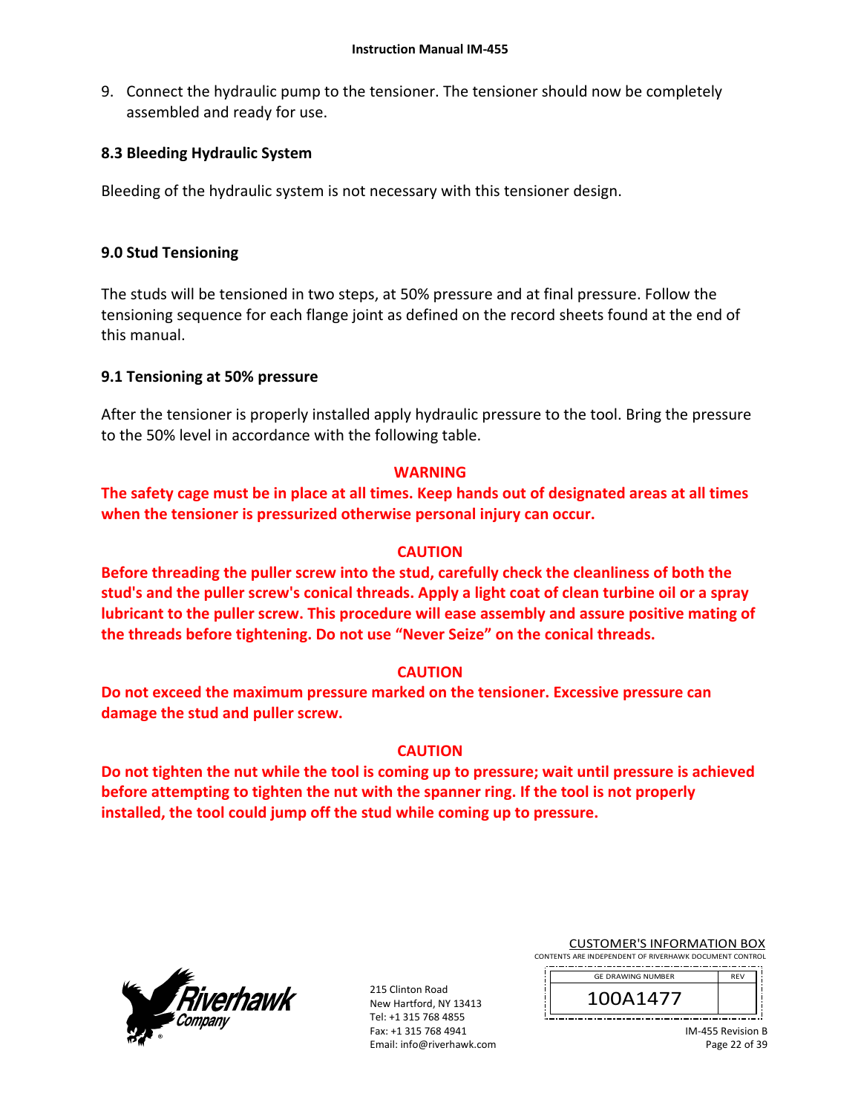9. Connect the hydraulic pump to the tensioner. The tensioner should now be completely assembled and ready for use.

## **8.3 Bleeding Hydraulic System**

Bleeding of the hydraulic system is not necessary with this tensioner design.

## **9.0 Stud Tensioning**

The studs will be tensioned in two steps, at 50% pressure and at final pressure. Follow the tensioning sequence for each flange joint as defined on the record sheets found at the end of this manual.

### **9.1 Tensioning at 50% pressure**

After the tensioner is properly installed apply hydraulic pressure to the tool. Bring the pressure to the 50% level in accordance with the following table.

### **WARNING**

**The safety cage must be in place at all times. Keep hands out of designated areas at all times when the tensioner is pressurized otherwise personal injury can occur.** 

## **CAUTION**

**Before threading the puller screw into the stud, carefully check the cleanliness of both the stud's and the puller screw's conical threads. Apply a light coat of clean turbine oil or a spray lubricant to the puller screw. This procedure will ease assembly and assure positive mating of the threads before tightening. Do not use "Never Seize" on the conical threads.** 

### **CAUTION**

**Do not exceed the maximum pressure marked on the tensioner. Excessive pressure can damage the stud and puller screw.** 

### **CAUTION**

**Do not tighten the nut while the tool is coming up to pressure; wait until pressure is achieved before attempting to tighten the nut with the spanner ring. If the tool is not properly installed, the tool could jump off the stud while coming up to pressure.** 



| <b>CUSTOMER'S INFORMATION BOX</b>                      |  |  |
|--------------------------------------------------------|--|--|
| CONTENTS ARE INDEPENDENT OF RIVERHAWK DOCUMENT CONTROL |  |  |

| <b>GE DRAWING NUMBER</b> | <b>RFV</b> |
|--------------------------|------------|
| 14/7                     |            |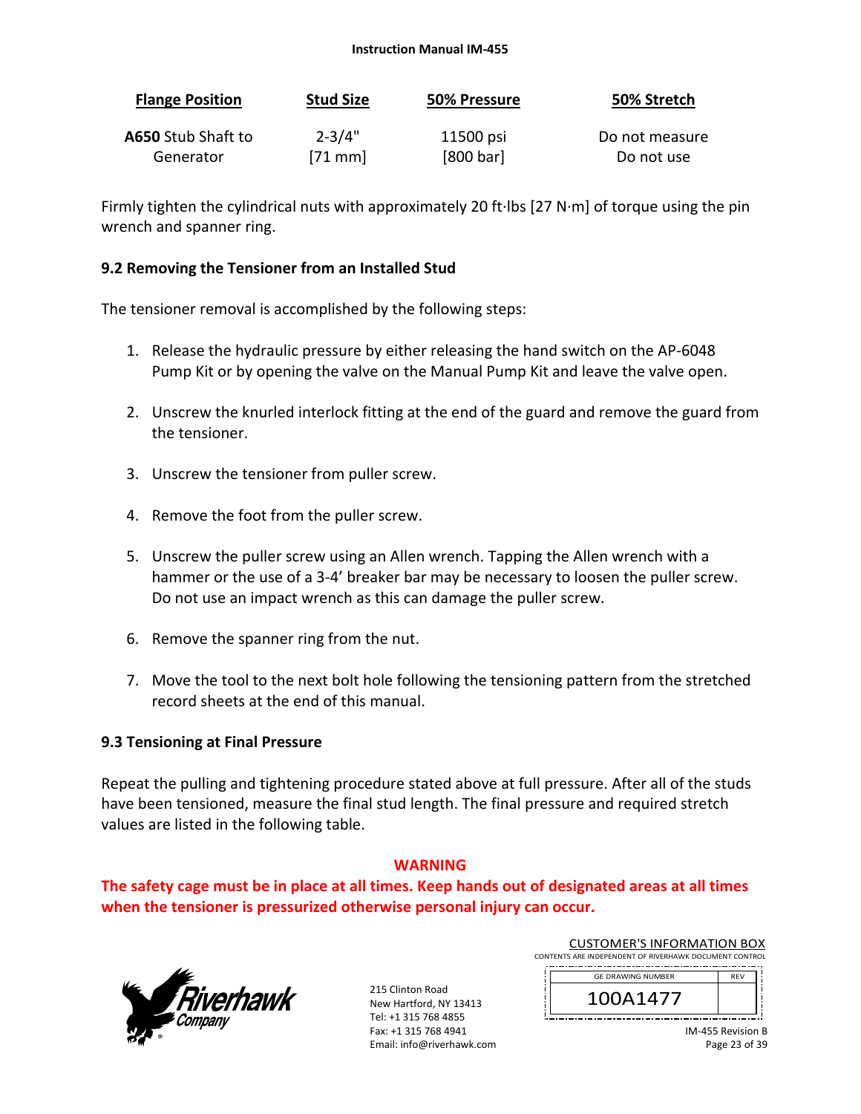#### **Instruction Manual IM‐455**

| <b>Flange Position</b> | <b>Stud Size</b> | 50% Pressure | 50% Stretch    |
|------------------------|------------------|--------------|----------------|
| A650 Stub Shaft to     | $2 - 3/4"$       | 11500 psi    | Do not measure |
| Generator              | $[71$ mm         | [800 bar]    | Do not use     |

Firmly tighten the cylindrical nuts with approximately 20 ft∙lbs [27 N∙m] of torque using the pin wrench and spanner ring.

#### **9.2 Removing the Tensioner from an Installed Stud**

The tensioner removal is accomplished by the following steps:

- 1. Release the hydraulic pressure by either releasing the hand switch on the AP‐6048 Pump Kit or by opening the valve on the Manual Pump Kit and leave the valve open.
- 2. Unscrew the knurled interlock fitting at the end of the guard and remove the guard from the tensioner.
- 3. Unscrew the tensioner from puller screw.
- 4. Remove the foot from the puller screw.
- 5. Unscrew the puller screw using an Allen wrench. Tapping the Allen wrench with a hammer or the use of a 3‐4' breaker bar may be necessary to loosen the puller screw. Do not use an impact wrench as this can damage the puller screw.
- 6. Remove the spanner ring from the nut.
- 7. Move the tool to the next bolt hole following the tensioning pattern from the stretched record sheets at the end of this manual.

#### **9.3 Tensioning at Final Pressure**

Repeat the pulling and tightening procedure stated above at full pressure. After all of the studs have been tensioned, measure the final stud length. The final pressure and required stretch values are listed in the following table.

#### **WARNING**

**The safety cage must be in place at all times. Keep hands out of designated areas at all times when the tensioner is pressurized otherwise personal injury can occur.** 



| <b>CUSTOMER'S INFORMATION BOX</b>                               |  |
|-----------------------------------------------------------------|--|
| CONTENTS ARE INDEPENDENT OF RIVERHAWK DOCUMENT CONTROL          |  |
| the contract of the contract of the contract of the contract of |  |

| <b>GE DRAWING NUMBER</b> |  |  |
|--------------------------|--|--|
| A14//                    |  |  |
|                          |  |  |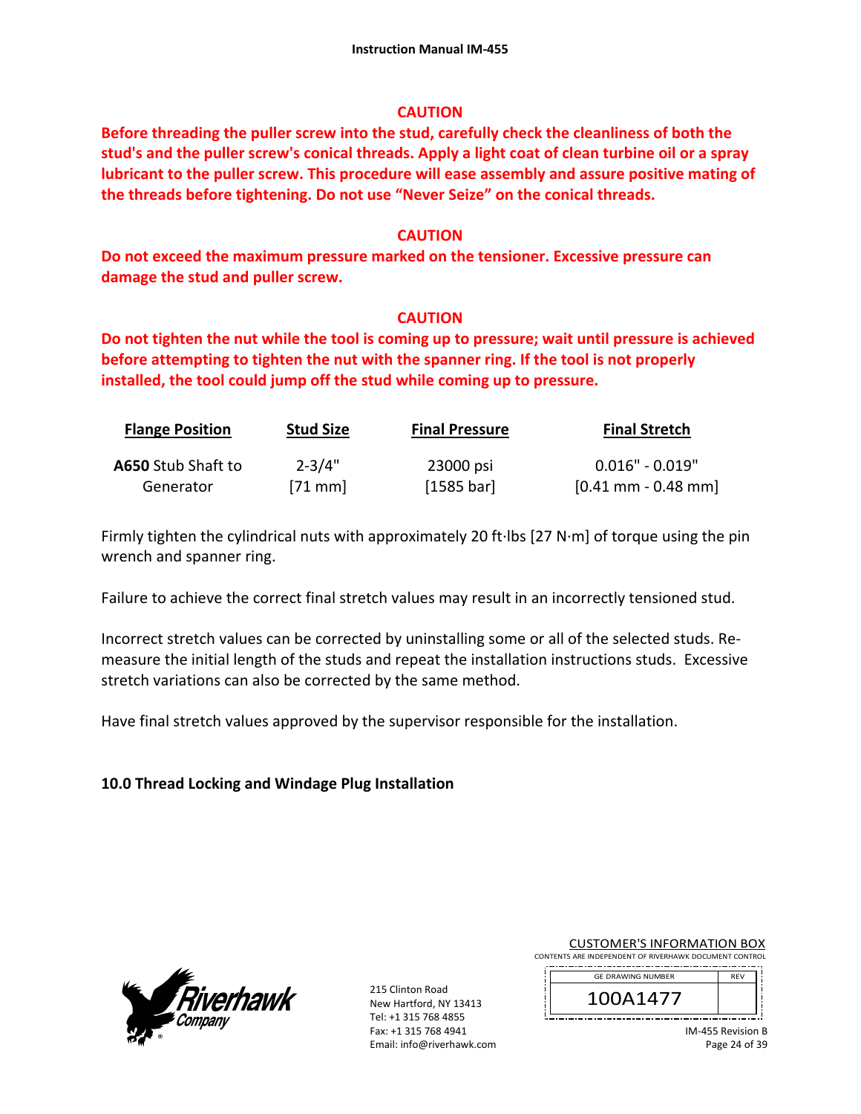## **CAUTION**

**Before threading the puller screw into the stud, carefully check the cleanliness of both the stud's and the puller screw's conical threads. Apply a light coat of clean turbine oil or a spray lubricant to the puller screw. This procedure will ease assembly and assure positive mating of the threads before tightening. Do not use "Never Seize" on the conical threads.** 

## **CAUTION**

**Do not exceed the maximum pressure marked on the tensioner. Excessive pressure can damage the stud and puller screw.** 

## **CAUTION**

**Do not tighten the nut while the tool is coming up to pressure; wait until pressure is achieved before attempting to tighten the nut with the spanner ring. If the tool is not properly installed, the tool could jump off the stud while coming up to pressure.**

| <b>Flange Position</b>    | <b>Stud Size</b> | <b>Final Pressure</b> | <b>Final Stretch</b>                  |
|---------------------------|------------------|-----------------------|---------------------------------------|
| <b>A650</b> Stub Shaft to | $2 - 3/4"$       | 23000 psi             | $0.016"$ - $0.019"$                   |
| Generator                 | $[71$ mm         | [1585 bar]            | $[0.41 \text{ mm} - 0.48 \text{ mm}]$ |

Firmly tighten the cylindrical nuts with approximately 20 ft∙lbs [27 N∙m] of torque using the pin wrench and spanner ring.

Failure to achieve the correct final stretch values may result in an incorrectly tensioned stud.

Incorrect stretch values can be corrected by uninstalling some or all of the selected studs. Re‐ measure the initial length of the studs and repeat the installation instructions studs. Excessive stretch variations can also be corrected by the same method.

Have final stretch values approved by the supervisor responsible for the installation.

# **10.0 Thread Locking and Windage Plug Installation**



215 Clinton Road New Hartford, NY 13413 Tel: +1 315 768 4855 Fax: +1 315 768 4941 Email: info@riverhawk.com

CUSTOMER'S INFORMATION BOX CONTENTS ARE INDEPENDENT OF RIVERHAWK DOCUMENT CONTROL

| <b>GE DRAWING NUMBER</b> | <b>RFV</b> |
|--------------------------|------------|
| \1477                    |            |

IM‐455 Revision B Page 24 of 39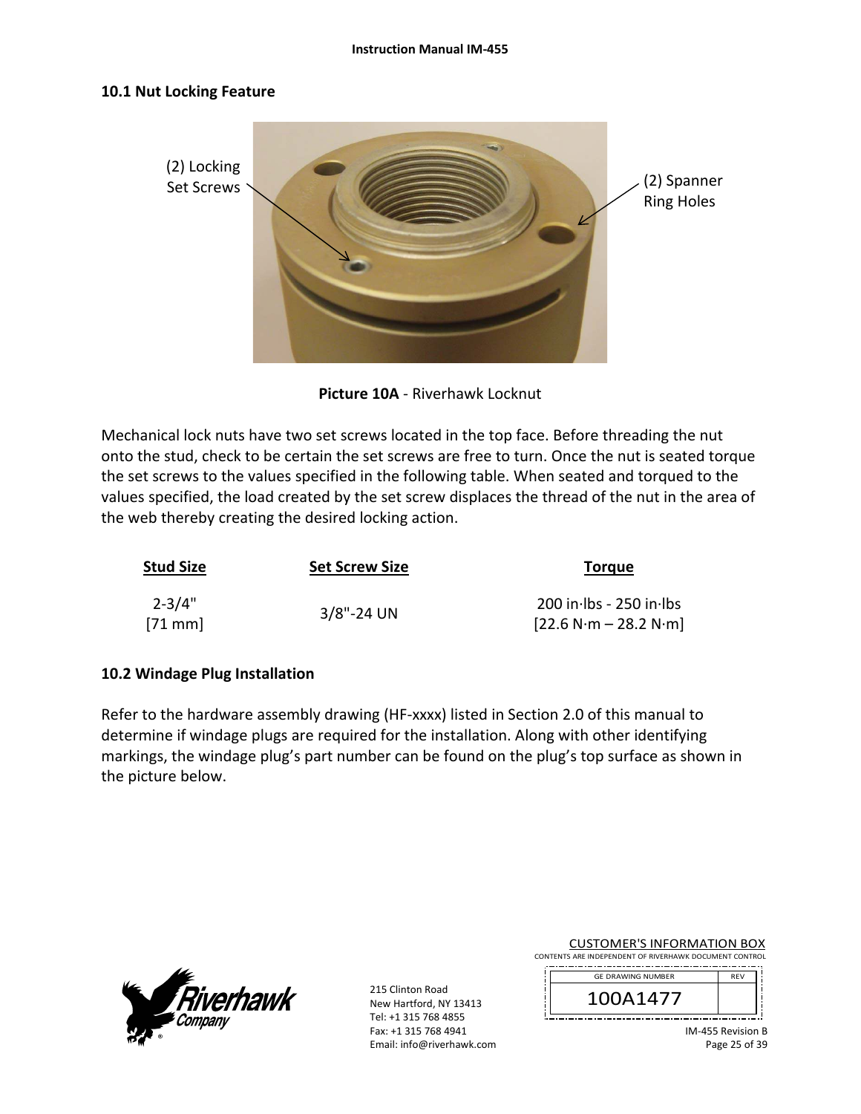#### **10.1 Nut Locking Feature**



**Picture 10A** ‐ Riverhawk Locknut

Mechanical lock nuts have two set screws located in the top face. Before threading the nut onto the stud, check to be certain the set screws are free to turn. Once the nut is seated torque the set screws to the values specified in the following table. When seated and torqued to the values specified, the load created by the set screw displaces the thread of the nut in the area of the web thereby creating the desired locking action.

| <b>Stud Size</b>       | <b>Set Screw Size</b> | <b>Torque</b>                                        |
|------------------------|-----------------------|------------------------------------------------------|
| $2 - 3/4"$<br>$[71$ mm | $3/8$ "-24 UN         | $200$ in lbs - 250 in lbs<br>$[22.6 N·m - 28.2 N·m]$ |

### **10.2 Windage Plug Installation**

Refer to the hardware assembly drawing (HF-xxxx) listed in Section 2.0 of this manual to determine if windage plugs are required for the installation. Along with other identifying markings, the windage plug's part number can be found on the plug's top surface as shown in the picture below.



215 Clinton Road New Hartford, NY 13413 Tel: +1 315 768 4855 Fax: +1 315 768 4941 Email: info@riverhawk.com

CUSTOMER'S INFORMATION BOX CONTENTS ARE INDEPENDENT OF RIVERHAWK DOCUMENT CONTROL

| <b>GE DRAWING NUMBER</b> | <b>RFV</b> |
|--------------------------|------------|
|                          |            |
| A14//                    |            |

<u>istoriana e de la conte</u>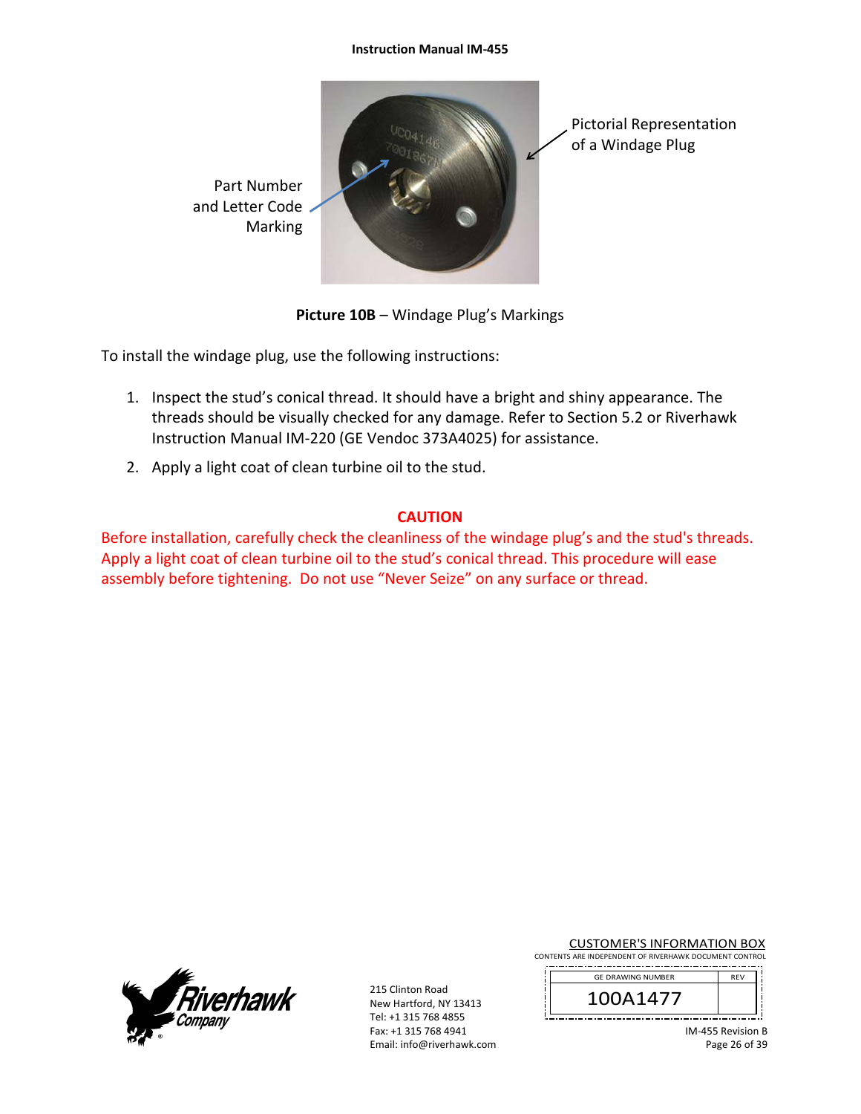#### **Instruction Manual IM‐455**



**Picture 10B** – Windage Plug's Markings

To install the windage plug, use the following instructions:

- 1. Inspect the stud's conical thread. It should have a bright and shiny appearance. The threads should be visually checked for any damage. Refer to Section 5.2 or Riverhawk Instruction Manual IM‐220 (GE Vendoc 373A4025) for assistance.
- 2. Apply a light coat of clean turbine oil to the stud.

# **CAUTION**

Before installation, carefully check the cleanliness of the windage plug's and the stud's threads. Apply a light coat of clean turbine oil to the stud's conical thread. This procedure will ease assembly before tightening. Do not use "Never Seize" on any surface or thread.



215 Clinton Road New Hartford, NY 13413 Tel: +1 315 768 4855 Fax: +1 315 768 4941 Email: info@riverhawk.com

CUSTOMER'S INFORMATION BOX CONTENTS ARE INDEPENDENT OF RIVERHAWK DOCUMENT CONTROL

| <b>GE DRAWING NUMBER</b> | <b>RFV</b> |
|--------------------------|------------|
| \1477                    |            |

IM‐455 Revision B Page 26 of 39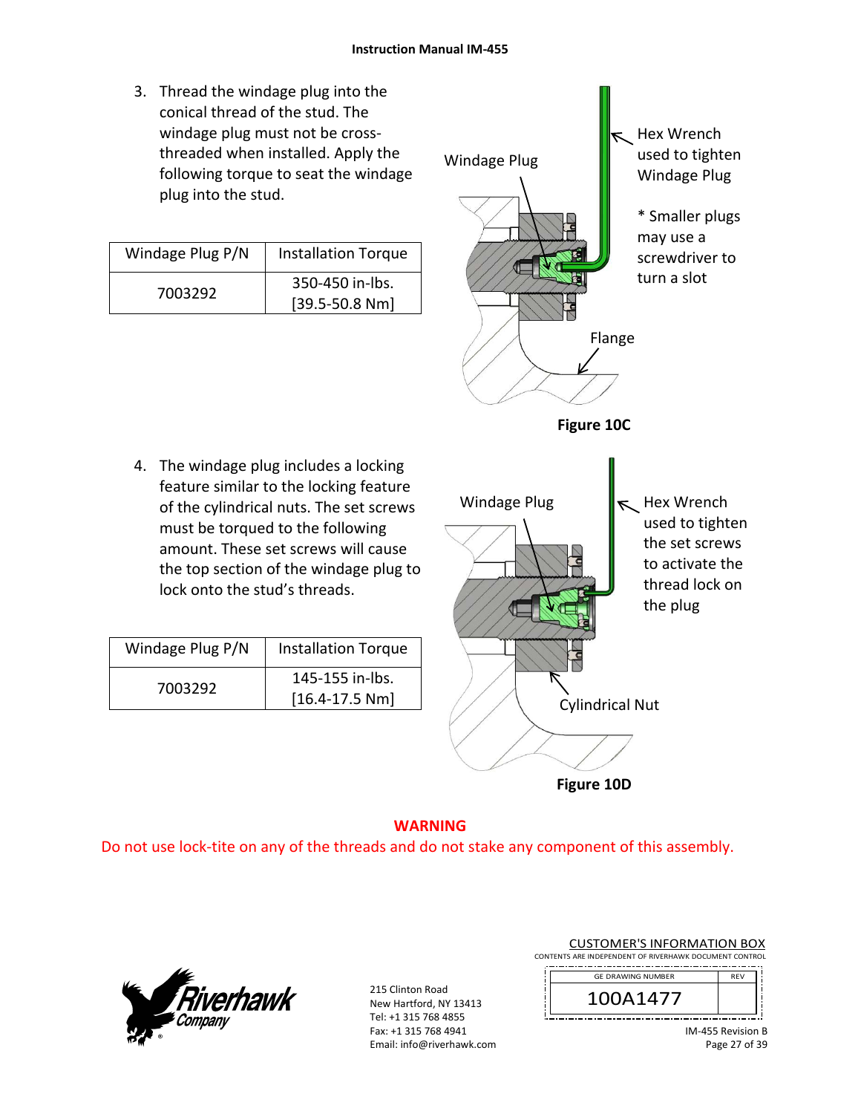3. Thread the windage plug into the conical thread of the stud. The windage plug must not be cross‐ threaded when installed. Apply the following torque to seat the windage plug into the stud.

| Windage Plug P/N | <b>Installation Torque</b> |
|------------------|----------------------------|
| 7003292          | 350-450 in-lbs.            |
|                  | $[39.5 - 50.8 Nm]$         |

4. The windage plug includes a locking feature similar to the locking feature of the cylindrical nuts. The set screws must be torqued to the following amount. These set screws will cause the top section of the windage plug to

lock onto the stud's threads.

Windage Plug  $P/N$  | Installation Torque

7003292 145-155 in-lbs.

[16.4‐17.5 Nm]



**Figure 10D**

#### **WARNING**  Do not use lock‐tite on any of the threads and do not stake any component of this assembly.



215 Clinton Road New Hartford, NY 13413 Tel: +1 315 768 4855 Fax: +1 315 768 4941 Email: info@riverhawk.com

|  |  | <b>CUSTOMER'S INFORMATION BOX</b>                      |  |  |
|--|--|--------------------------------------------------------|--|--|
|  |  | CONTENTS ARE INDEPENDENT OF RIVERHAWK DOCUMENT CONTROL |  |  |

| <b>GE DRAWING NUMBER</b> |  |
|--------------------------|--|
| 14 Z                     |  |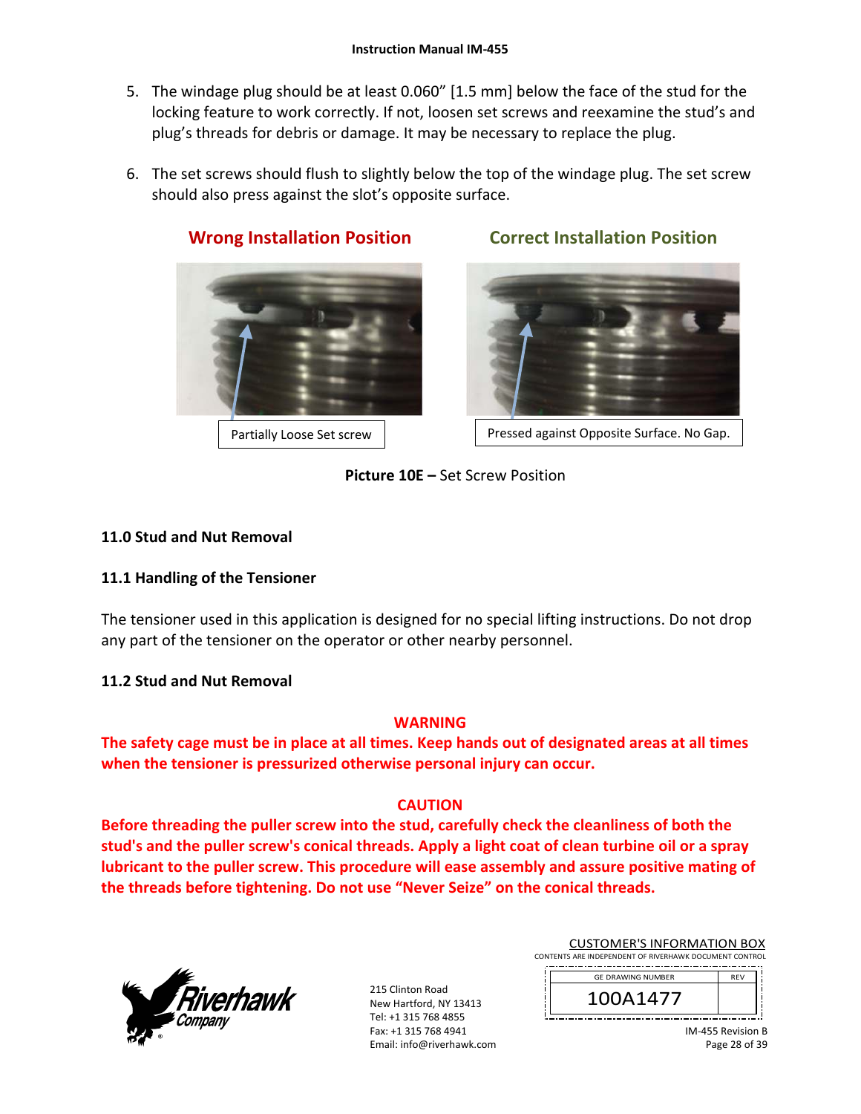- 5. The windage plug should be at least 0.060" [1.5 mm] below the face of the stud for the locking feature to work correctly. If not, loosen set screws and reexamine the stud's and plug's threads for debris or damage. It may be necessary to replace the plug.
- 6. The set screws should flush to slightly below the top of the windage plug. The set screw should also press against the slot's opposite surface.



# **Wrong Installation Position Correct Installation Position**

Partially Loose Set screw | Ressed against Opposite Surface. No Gap.

**Picture 10E –** Set Screw Position

# **11.0 Stud and Nut Removal**

# **11.1 Handling of the Tensioner**

The tensioner used in this application is designed for no special lifting instructions. Do not drop any part of the tensioner on the operator or other nearby personnel.

# **11.2 Stud and Nut Removal**

# **WARNING**

**The safety cage must be in place at all times. Keep hands out of designated areas at all times when the tensioner is pressurized otherwise personal injury can occur.** 

# **CAUTION**

**Before threading the puller screw into the stud, carefully check the cleanliness of both the stud's and the puller screw's conical threads. Apply a light coat of clean turbine oil or a spray lubricant to the puller screw. This procedure will ease assembly and assure positive mating of the threads before tightening. Do not use "Never Seize" on the conical threads.** 



| <b>CUSTOMER'S INFORMATION BOX</b>                      |  |
|--------------------------------------------------------|--|
| CONTENTS ARE INDEPENDENT OF RIVERHAWK DOCUMENT CONTROL |  |
| and and continued contractors                          |  |

| <b>GE DRAWING NUMBER</b> | <b>RFV</b> |
|--------------------------|------------|
| A1477                    |            |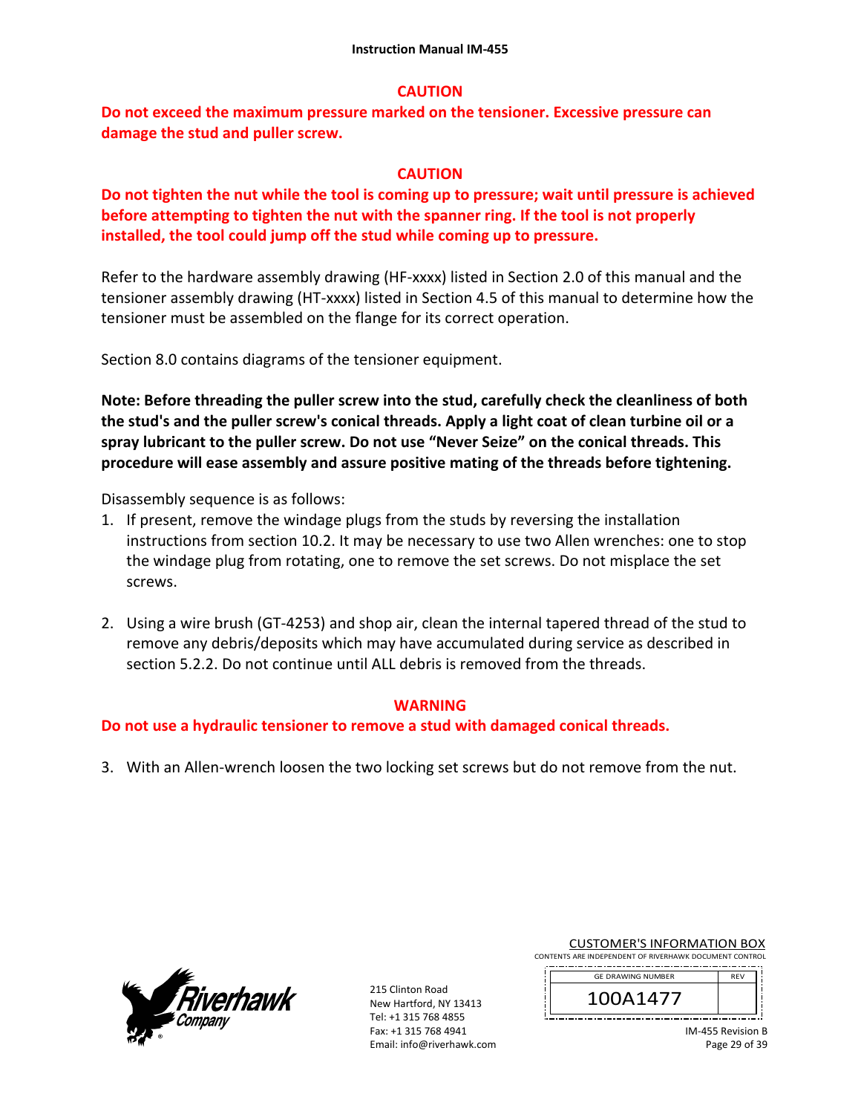#### **CAUTION**

**Do not exceed the maximum pressure marked on the tensioner. Excessive pressure can damage the stud and puller screw.** 

#### **CAUTION**

**Do not tighten the nut while the tool is coming up to pressure; wait until pressure is achieved before attempting to tighten the nut with the spanner ring. If the tool is not properly installed, the tool could jump off the stud while coming up to pressure.** 

Refer to the hardware assembly drawing (HF-xxxx) listed in Section 2.0 of this manual and the tensioner assembly drawing (HT‐xxxx) listed in Section 4.5 of this manual to determine how the tensioner must be assembled on the flange for its correct operation.

Section 8.0 contains diagrams of the tensioner equipment.

**Note: Before threading the puller screw into the stud, carefully check the cleanliness of both the stud's and the puller screw's conical threads. Apply a light coat of clean turbine oil or a spray lubricant to the puller screw. Do not use "Never Seize" on the conical threads. This procedure will ease assembly and assure positive mating of the threads before tightening.** 

Disassembly sequence is as follows:

- 1. If present, remove the windage plugs from the studs by reversing the installation instructions from section 10.2. It may be necessary to use two Allen wrenches: one to stop the windage plug from rotating, one to remove the set screws. Do not misplace the set screws.
- 2. Using a wire brush (GT‐4253) and shop air, clean the internal tapered thread of the stud to remove any debris/deposits which may have accumulated during service as described in section 5.2.2. Do not continue until ALL debris is removed from the threads.

#### **WARNING**

**Do not use a hydraulic tensioner to remove a stud with damaged conical threads.** 

3. With an Allen‐wrench loosen the two locking set screws but do not remove from the nut.



215 Clinton Road New Hartford, NY 13413 Tel: +1 315 768 4855 Fax: +1 315 768 4941 Email: info@riverhawk.com

CUSTOMER'S INFORMATION BOX CONTENTS ARE INDEPENDENT OF RIVERHAWK DOCUMENT CONTROL

| <b>GE DRAWING NUMBER</b> | <b>RFV</b> |
|--------------------------|------------|
| \1477                    |            |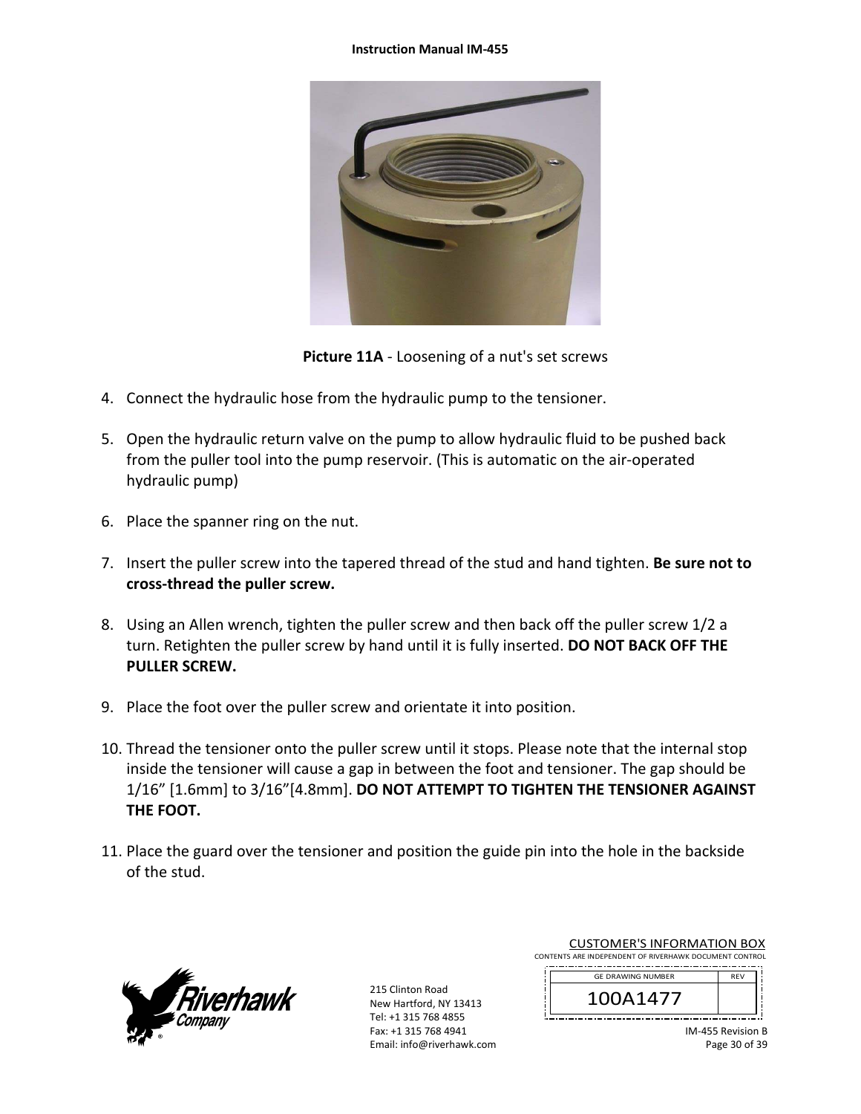#### **Instruction Manual IM‐455**



**Picture 11A** ‐ Loosening of a nut's set screws

- 4. Connect the hydraulic hose from the hydraulic pump to the tensioner.
- 5. Open the hydraulic return valve on the pump to allow hydraulic fluid to be pushed back from the puller tool into the pump reservoir. (This is automatic on the air‐operated hydraulic pump)
- 6. Place the spanner ring on the nut.
- 7. Insert the puller screw into the tapered thread of the stud and hand tighten. **Be sure not to cross‐thread the puller screw.**
- 8. Using an Allen wrench, tighten the puller screw and then back off the puller screw 1/2 a turn. Retighten the puller screw by hand until it is fully inserted. **DO NOT BACK OFF THE PULLER SCREW.**
- 9. Place the foot over the puller screw and orientate it into position.
- 10. Thread the tensioner onto the puller screw until it stops. Please note that the internal stop inside the tensioner will cause a gap in between the foot and tensioner. The gap should be 1/16" [1.6mm] to 3/16"[4.8mm]. **DO NOT ATTEMPT TO TIGHTEN THE TENSIONER AGAINST THE FOOT.**
- 11. Place the guard over the tensioner and position the guide pin into the hole in the backside of the stud.



215 Clinton Road New Hartford, NY 13413 Tel: +1 315 768 4855 Fax: +1 315 768 4941 Email: info@riverhawk.com

| CONTENTS ARE INDEPENDENT OF RIVERHAWK DOCUMENT CONTROL | CUSTUIVIEN 3 INFUNIVIATIUN BUA |  |
|--------------------------------------------------------|--------------------------------|--|
|                                                        |                                |  |
| <b>RFV</b><br><b>GE DRAWING NUMBER</b>                 |                                |  |
| 100A1477                                               |                                |  |

CUSTOMER'S INFORMATION BOY

| <b>GE DRAWING NUMBER</b> | <b>REV</b> |
|--------------------------|------------|
|                          |            |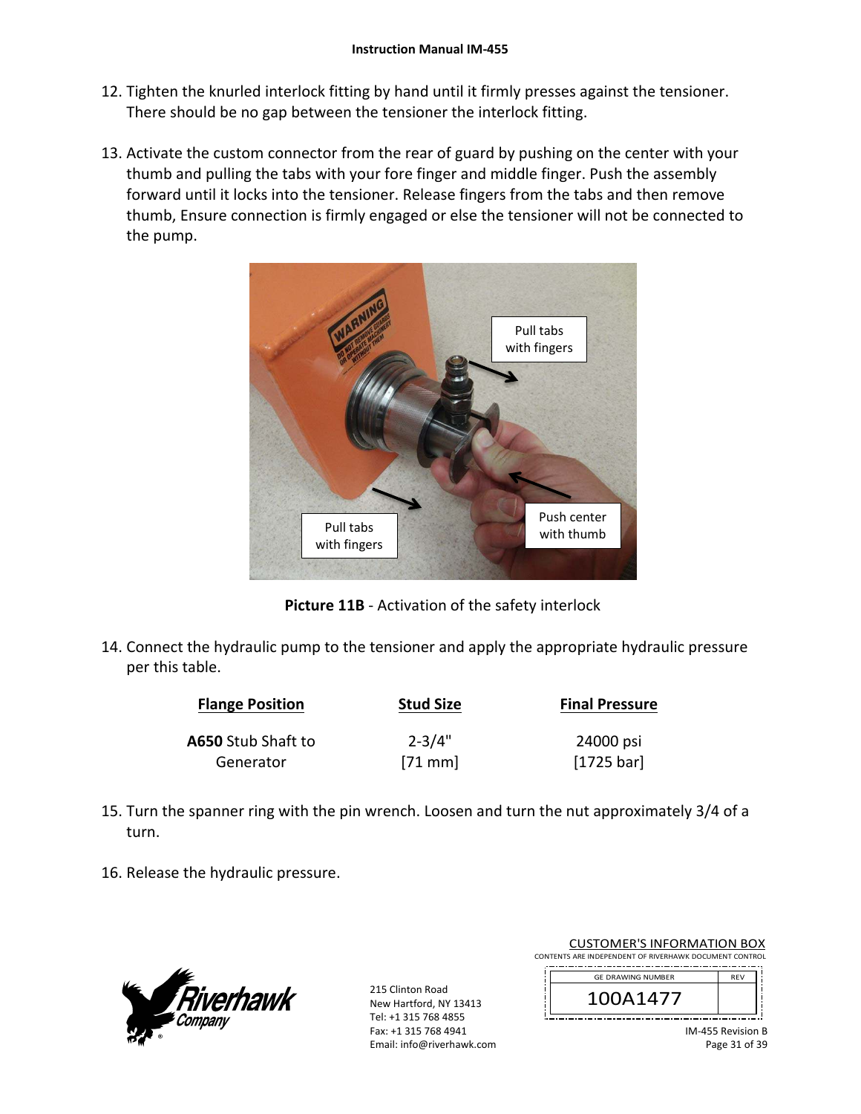- 12. Tighten the knurled interlock fitting by hand until it firmly presses against the tensioner. There should be no gap between the tensioner the interlock fitting.
- 13. Activate the custom connector from the rear of guard by pushing on the center with your thumb and pulling the tabs with your fore finger and middle finger. Push the assembly forward until it locks into the tensioner. Release fingers from the tabs and then remove thumb, Ensure connection is firmly engaged or else the tensioner will not be connected to the pump.



**Picture 11B** ‐ Activation of the safety interlock

14. Connect the hydraulic pump to the tensioner and apply the appropriate hydraulic pressure per this table.

| <b>Flange Position</b> | <b>Stud Size</b> | <b>Final Pressure</b> |
|------------------------|------------------|-----------------------|
| A650 Stub Shaft to     | $2 - 3/4"$       | 24000 psi             |
| Generator              | $[71$ mm         | [1725 bar]            |

- 15. Turn the spanner ring with the pin wrench. Loosen and turn the nut approximately 3/4 of a turn.
- 16. Release the hydraulic pressure.



215 Clinton Road New Hartford, NY 13413 Tel: +1 315 768 4855 Fax: +1 315 768 4941 Email: info@riverhawk.com

| <b>CUSTOMER'S INFORMATION BOX</b>                      |            |  |
|--------------------------------------------------------|------------|--|
| CONTENTS ARE INDEPENDENT OF RIVERHAWK DOCUMENT CONTROL |            |  |
| <b>GE DRAWING NUMBER</b>                               | <b>RFV</b> |  |
| 100A1477                                               |            |  |

<u>il<del>.............................</del>.</u>

IM‐455 Revision B Page 31 of 39

ز لـــ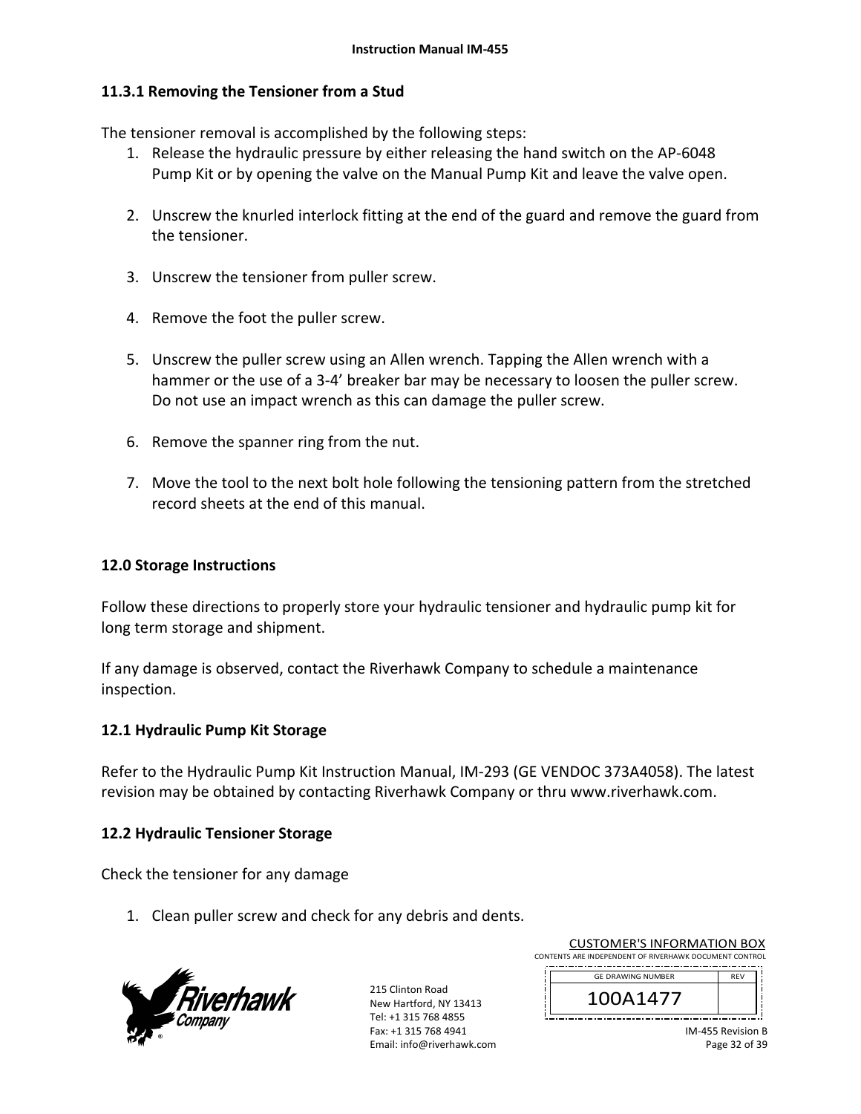## **11.3.1 Removing the Tensioner from a Stud**

The tensioner removal is accomplished by the following steps:

- 1. Release the hydraulic pressure by either releasing the hand switch on the AP‐6048 Pump Kit or by opening the valve on the Manual Pump Kit and leave the valve open.
- 2. Unscrew the knurled interlock fitting at the end of the guard and remove the guard from the tensioner.
- 3. Unscrew the tensioner from puller screw.
- 4. Remove the foot the puller screw.
- 5. Unscrew the puller screw using an Allen wrench. Tapping the Allen wrench with a hammer or the use of a 3‐4' breaker bar may be necessary to loosen the puller screw. Do not use an impact wrench as this can damage the puller screw.
- 6. Remove the spanner ring from the nut.
- 7. Move the tool to the next bolt hole following the tensioning pattern from the stretched record sheets at the end of this manual.

## **12.0 Storage Instructions**

Follow these directions to properly store your hydraulic tensioner and hydraulic pump kit for long term storage and shipment.

If any damage is observed, contact the Riverhawk Company to schedule a maintenance inspection.

### **12.1 Hydraulic Pump Kit Storage**

Refer to the Hydraulic Pump Kit Instruction Manual, IM‐293 (GE VENDOC 373A4058). The latest revision may be obtained by contacting Riverhawk Company or thru www.riverhawk.com.

### **12.2 Hydraulic Tensioner Storage**

Check the tensioner for any damage

1. Clean puller screw and check for any debris and dents.



215 Clinton Road New Hartford, NY 13413 Tel: +1 315 768 4855 Fax: +1 315 768 4941 Email: info@riverhawk.com

| CONTENTS ARE INDEPENDENT OF RIVERHAWK DOCUMENT CONTROL |            |  |
|--------------------------------------------------------|------------|--|
| <b>GE DRAWING NUMBER</b>                               | <b>RFV</b> |  |
| 100A1477                                               |            |  |
|                                                        |            |  |

CUSTOMER'S INFORMATION BOX

IM‐455 Revision B Page 32 of 39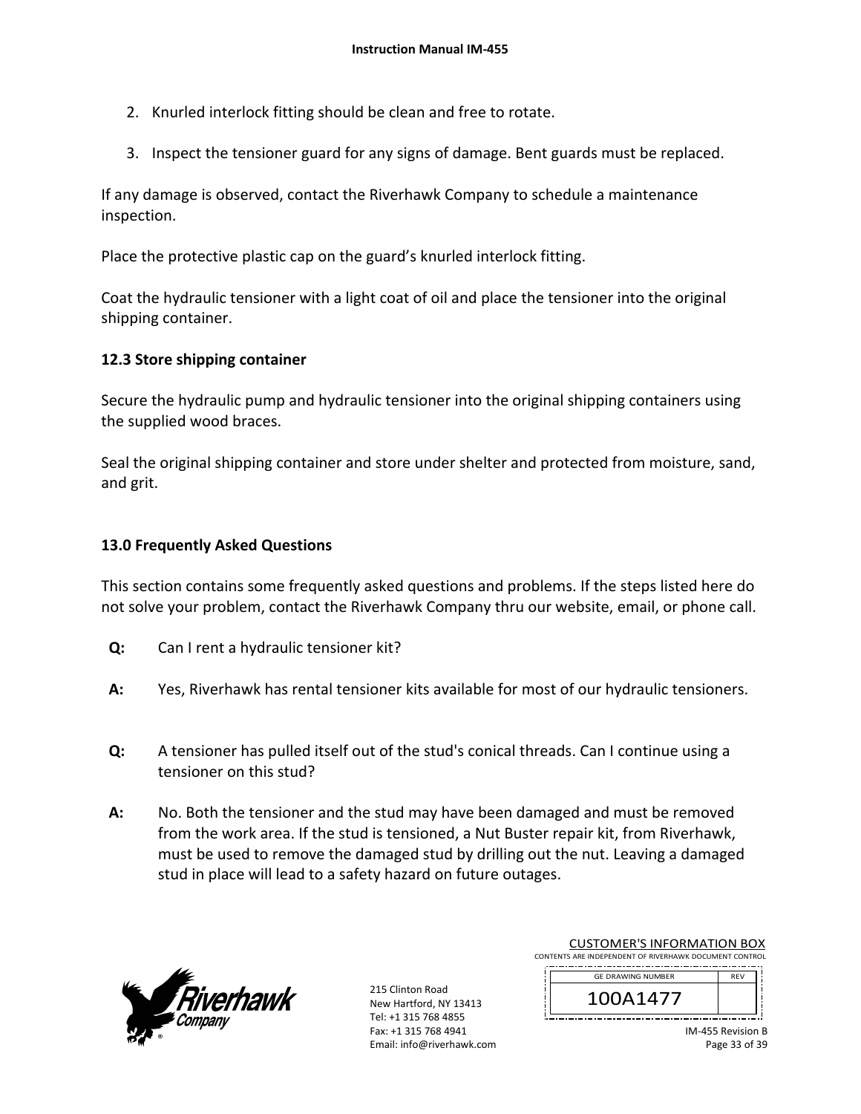- 2. Knurled interlock fitting should be clean and free to rotate.
- 3. Inspect the tensioner guard for any signs of damage. Bent guards must be replaced.

If any damage is observed, contact the Riverhawk Company to schedule a maintenance inspection.

Place the protective plastic cap on the guard's knurled interlock fitting.

Coat the hydraulic tensioner with a light coat of oil and place the tensioner into the original shipping container.

## **12.3 Store shipping container**

Secure the hydraulic pump and hydraulic tensioner into the original shipping containers using the supplied wood braces.

Seal the original shipping container and store under shelter and protected from moisture, sand, and grit.

### **13.0 Frequently Asked Questions**

This section contains some frequently asked questions and problems. If the steps listed here do not solve your problem, contact the Riverhawk Company thru our website, email, or phone call.

- **Q:**  Can I rent a hydraulic tensioner kit?
- **A:**  Yes, Riverhawk has rental tensioner kits available for most of our hydraulic tensioners.
- **Q:**  A tensioner has pulled itself out of the stud's conical threads. Can I continue using a tensioner on this stud?
- **A:**  No. Both the tensioner and the stud may have been damaged and must be removed from the work area. If the stud is tensioned, a Nut Buster repair kit, from Riverhawk, must be used to remove the damaged stud by drilling out the nut. Leaving a damaged stud in place will lead to a safety hazard on future outages.



215 Clinton Road New Hartford, NY 13413 Tel: +1 315 768 4855 Fax: +1 315 768 4941 Email: info@riverhawk.com

| <b>CUSTOMER'S INFORMATION BOX</b>                      |            |  |
|--------------------------------------------------------|------------|--|
| CONTENTS ARE INDEPENDENT OF RIVERHAWK DOCUMENT CONTROL |            |  |
| <b>GE DRAWING NUMBER</b>                               | <b>RFV</b> |  |
|                                                        |            |  |

100A1477

| IM-455 Revision B |
|-------------------|
| Page 33 of 39     |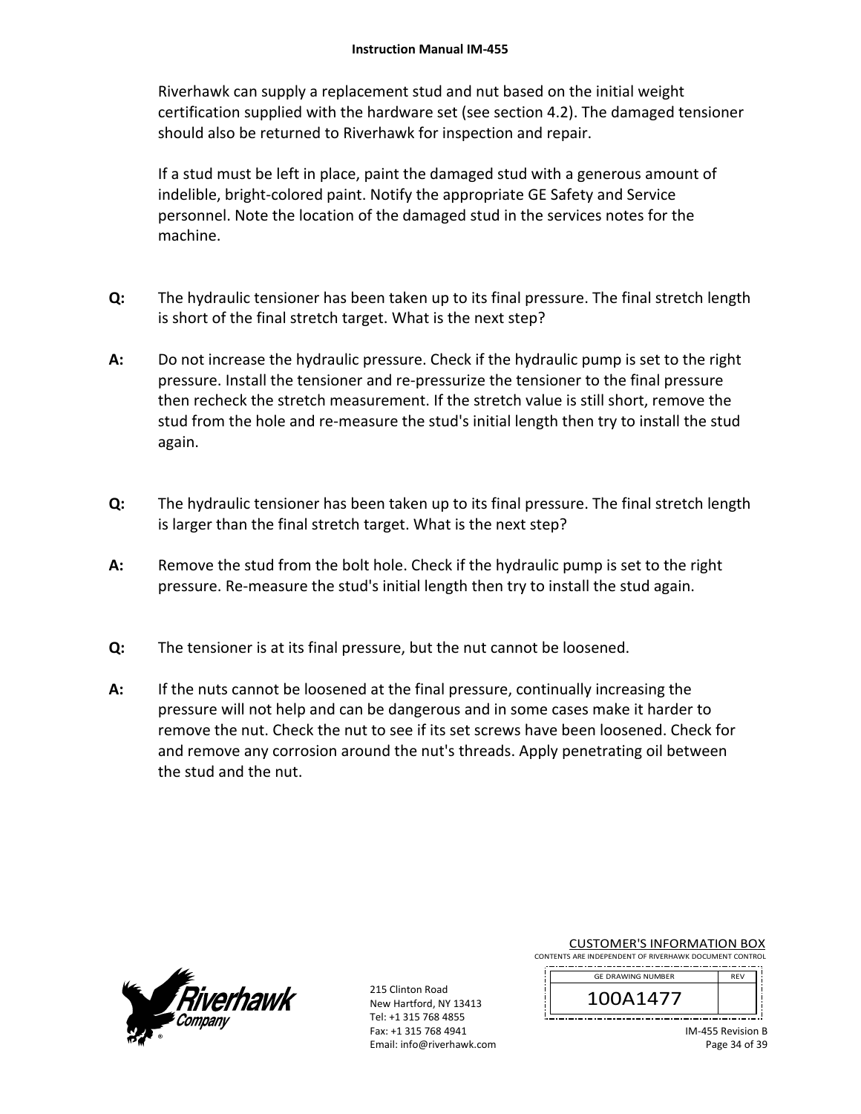Riverhawk can supply a replacement stud and nut based on the initial weight certification supplied with the hardware set (see section 4.2). The damaged tensioner should also be returned to Riverhawk for inspection and repair.

If a stud must be left in place, paint the damaged stud with a generous amount of indelible, bright‐colored paint. Notify the appropriate GE Safety and Service personnel. Note the location of the damaged stud in the services notes for the machine.

- **Q:**  The hydraulic tensioner has been taken up to its final pressure. The final stretch length is short of the final stretch target. What is the next step?
- **A:**  Do not increase the hydraulic pressure. Check if the hydraulic pump is set to the right pressure. Install the tensioner and re‐pressurize the tensioner to the final pressure then recheck the stretch measurement. If the stretch value is still short, remove the stud from the hole and re-measure the stud's initial length then try to install the stud again.
- **Q:**  The hydraulic tensioner has been taken up to its final pressure. The final stretch length is larger than the final stretch target. What is the next step?
- **A:**  Remove the stud from the bolt hole. Check if the hydraulic pump is set to the right pressure. Re‐measure the stud's initial length then try to install the stud again.
- **Q:**  The tensioner is at its final pressure, but the nut cannot be loosened.
- **A:**  If the nuts cannot be loosened at the final pressure, continually increasing the pressure will not help and can be dangerous and in some cases make it harder to remove the nut. Check the nut to see if its set screws have been loosened. Check for and remove any corrosion around the nut's threads. Apply penetrating oil between the stud and the nut.



| <b>CUSTOMER'S INFORMATION BOX</b>                      |  |  |  |
|--------------------------------------------------------|--|--|--|
| CONTENTS ARE INDEPENDENT OF RIVERHAWK DOCUMENT CONTROL |  |  |  |

| <b>GE DRAWING NUMBER</b> | <b>RFV</b> |
|--------------------------|------------|
| 14/7                     |            |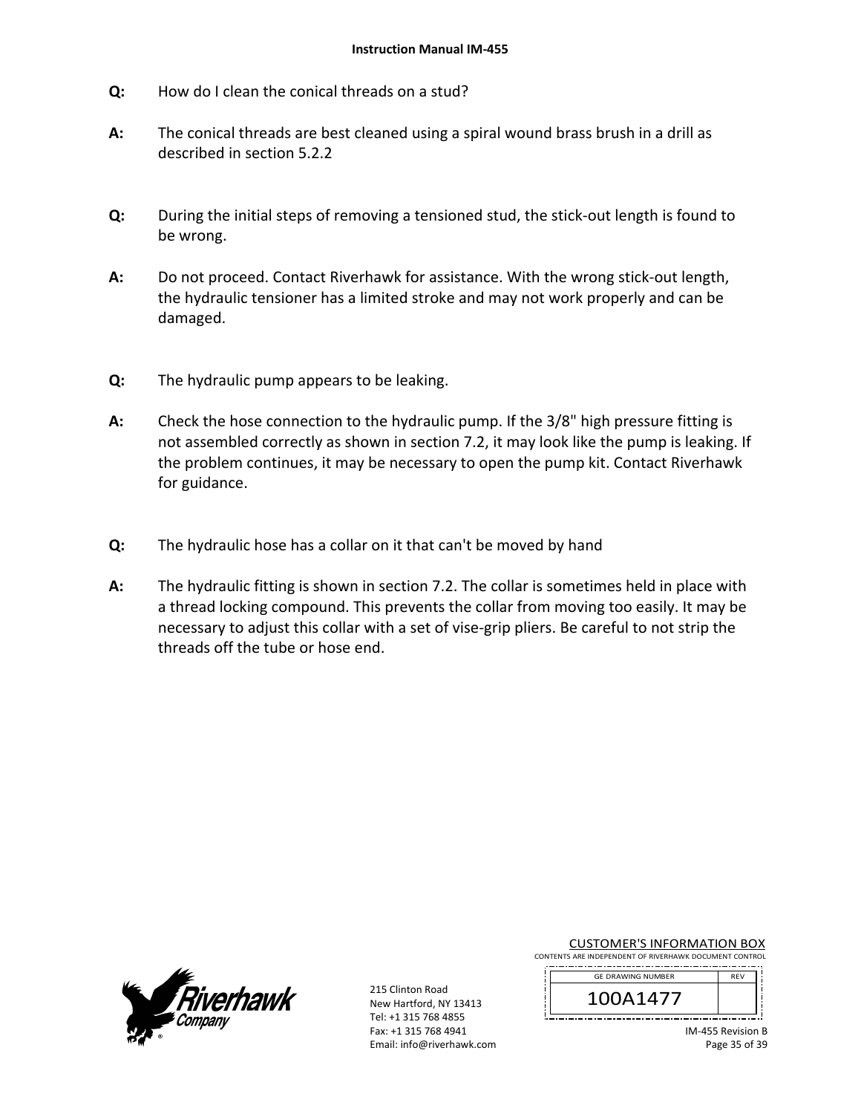- **Q:**  How do I clean the conical threads on a stud?
- **A:**  The conical threads are best cleaned using a spiral wound brass brush in a drill as described in section 5.2.2
- **Q:**  During the initial steps of removing a tensioned stud, the stick‐out length is found to be wrong.
- **A:**  Do not proceed. Contact Riverhawk for assistance. With the wrong stick-out length, the hydraulic tensioner has a limited stroke and may not work properly and can be damaged.
- **Q:**  The hydraulic pump appears to be leaking.
- **A:**  Check the hose connection to the hydraulic pump. If the 3/8" high pressure fitting is not assembled correctly as shown in section 7.2, it may look like the pump is leaking. If the problem continues, it may be necessary to open the pump kit. Contact Riverhawk for guidance.
- **Q:**  The hydraulic hose has a collar on it that can't be moved by hand
- **A:**  The hydraulic fitting is shown in section 7.2. The collar is sometimes held in place with a thread locking compound. This prevents the collar from moving too easily. It may be necessary to adjust this collar with a set of vise-grip pliers. Be careful to not strip the threads off the tube or hose end.



215 Clinton Road New Hartford, NY 13413 Tel: +1 315 768 4855 Fax: +1 315 768 4941 Email: info@riverhawk.com

CUSTOMER'S INFORMATION BOX CONTENTS ARE INDEPENDENT OF RIVERHAWK DOCUMENT CONTROL

| <b>GE DRAWING NUMBER</b> | <b>RFV</b> |
|--------------------------|------------|
| A14//                    |            |

IM‐455 Revision B Page 35 of 39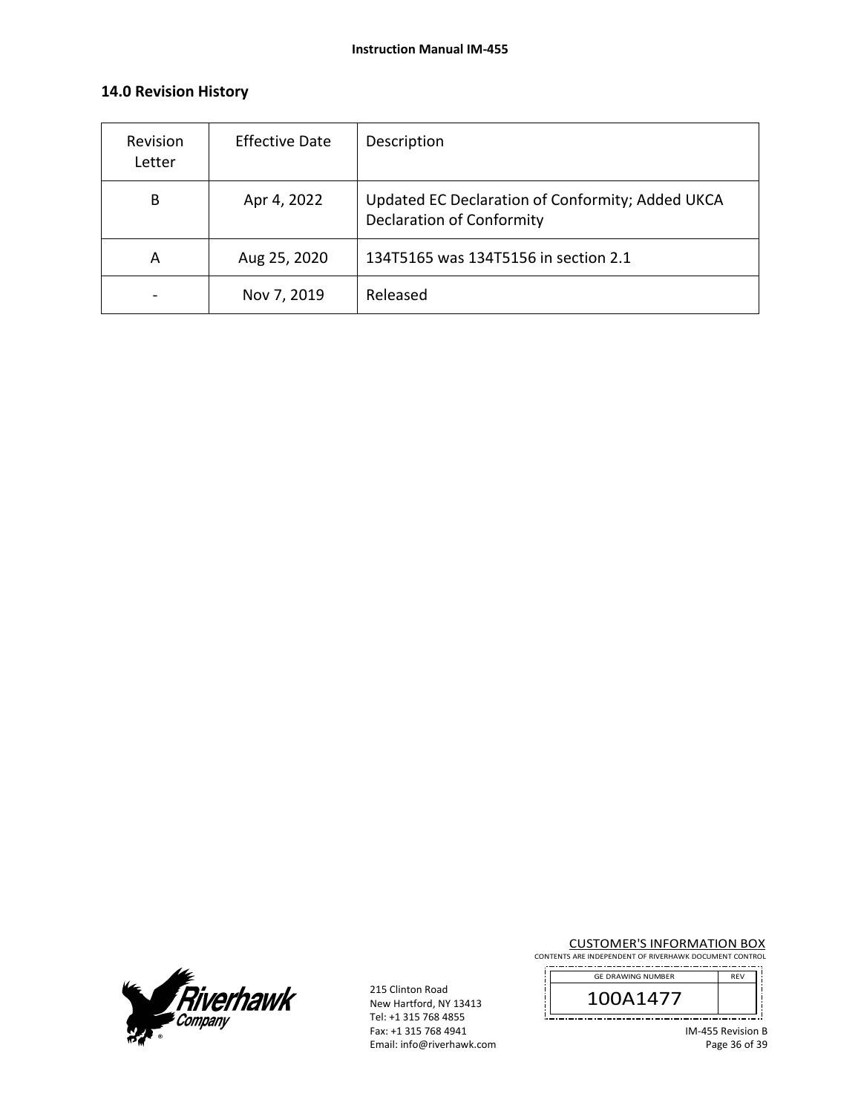## **14.0 Revision History**

| Revision<br>Letter | <b>Effective Date</b> | Description                                                                          |
|--------------------|-----------------------|--------------------------------------------------------------------------------------|
| B                  | Apr 4, 2022           | Updated EC Declaration of Conformity; Added UKCA<br><b>Declaration of Conformity</b> |
| A                  | Aug 25, 2020          | 134T5165 was 134T5156 in section 2.1                                                 |
|                    | Nov 7, 2019           | Released                                                                             |



215 Clinton Road New Hartford, NY 13413 Tel: +1 315 768 4855 Fax: +1 315 768 4941 Email: info@riverhawk.com **CUSTOMER'S INFORMATION BOX**<br>CONTENTS ARE INDEPENDENT OF RIVERHAWK DOCUMENT CONTROL

 f

| <b>GE DRAWING NUMBER</b> |  |
|--------------------------|--|
| .147                     |  |

IM‐455 Revision B Page 36 of 39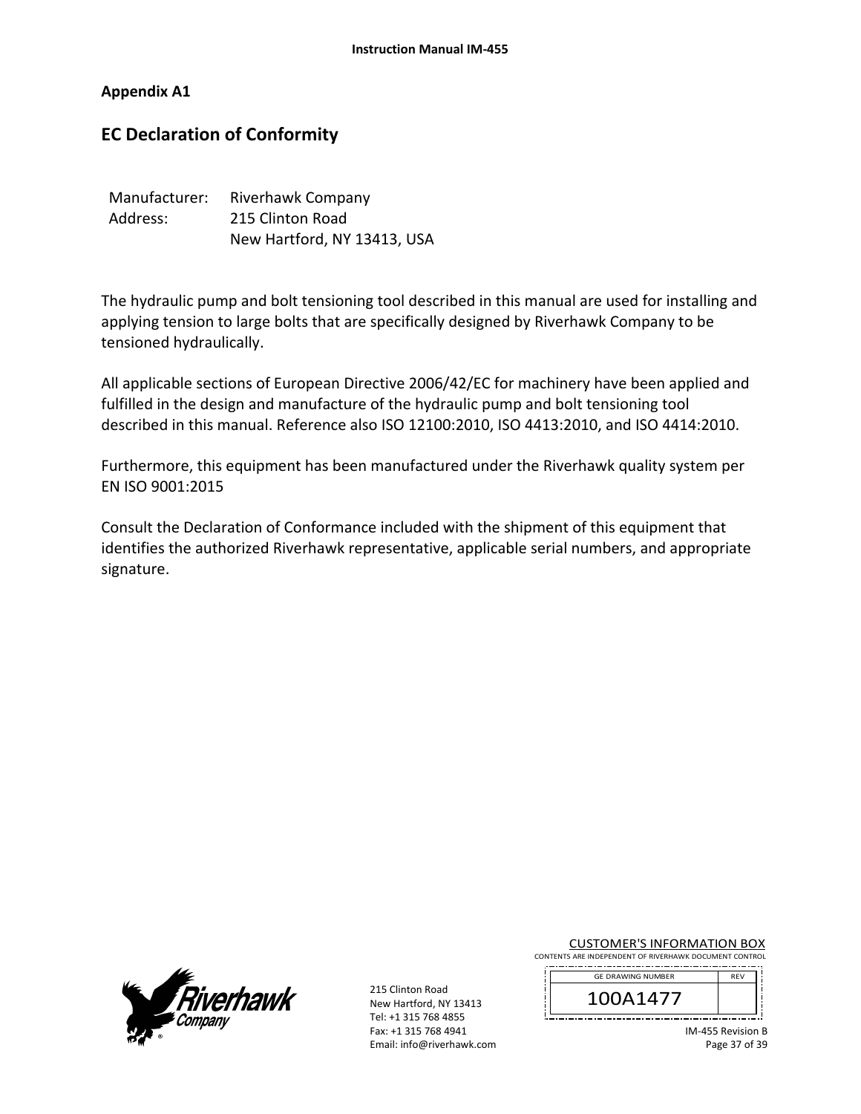#### **Appendix A1**

# **EC Declaration of Conformity**

| Manufacturer: | Riverhawk Company           |
|---------------|-----------------------------|
| Address:      | 215 Clinton Road            |
|               | New Hartford, NY 13413, USA |

The hydraulic pump and bolt tensioning tool described in this manual are used for installing and applying tension to large bolts that are specifically designed by Riverhawk Company to be tensioned hydraulically.

All applicable sections of European Directive 2006/42/EC for machinery have been applied and fulfilled in the design and manufacture of the hydraulic pump and bolt tensioning tool described in this manual. Reference also ISO 12100:2010, ISO 4413:2010, and ISO 4414:2010.

Furthermore, this equipment has been manufactured under the Riverhawk quality system per EN ISO 9001:2015

Consult the Declaration of Conformance included with the shipment of this equipment that identifies the authorized Riverhawk representative, applicable serial numbers, and appropriate signature.



215 Clinton Road New Hartford, NY 13413 Tel: +1 315 768 4855 Fax: +1 315 768 4941 Email: info@riverhawk.com

CUSTOMER'S INFORMATION BOX CONTENTS ARE INDEPENDENT OF RIVERHAWK DOCUMENT CONTROL

| <b>GE DRAWING NUMBER</b> | <b>RFV</b> |
|--------------------------|------------|
| \1477                    |            |

IM‐455 Revision B Page 37 of 39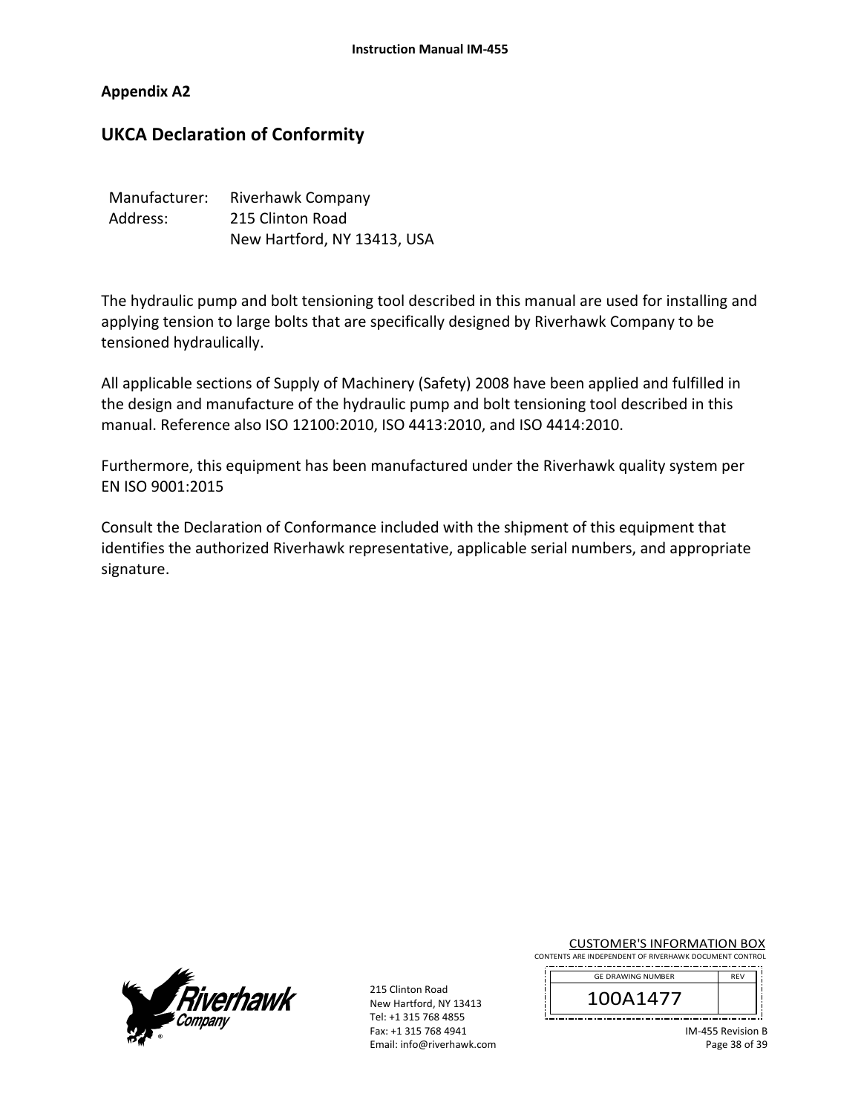#### **Appendix A2**

# **UKCA Declaration of Conformity**

| Manufacturer: | Riverhawk Company           |
|---------------|-----------------------------|
| Address:      | 215 Clinton Road            |
|               | New Hartford, NY 13413, USA |

The hydraulic pump and bolt tensioning tool described in this manual are used for installing and applying tension to large bolts that are specifically designed by Riverhawk Company to be tensioned hydraulically.

All applicable sections of Supply of Machinery (Safety) 2008 have been applied and fulfilled in the design and manufacture of the hydraulic pump and bolt tensioning tool described in this manual. Reference also ISO 12100:2010, ISO 4413:2010, and ISO 4414:2010.

Furthermore, this equipment has been manufactured under the Riverhawk quality system per EN ISO 9001:2015

Consult the Declaration of Conformance included with the shipment of this equipment that identifies the authorized Riverhawk representative, applicable serial numbers, and appropriate signature.



215 Clinton Road New Hartford, NY 13413 Tel: +1 315 768 4855 Fax: +1 315 768 4941 Email: info@riverhawk.com

CUSTOMER'S INFORMATION BOX CONTENTS ARE INDEPENDENT OF RIVERHAWK DOCUMENT CONTROL

| <b>GE DRAWING NUMBER</b> | <b>RFV</b> |
|--------------------------|------------|
| \1477                    |            |

IM‐455 Revision B Page 38 of 39